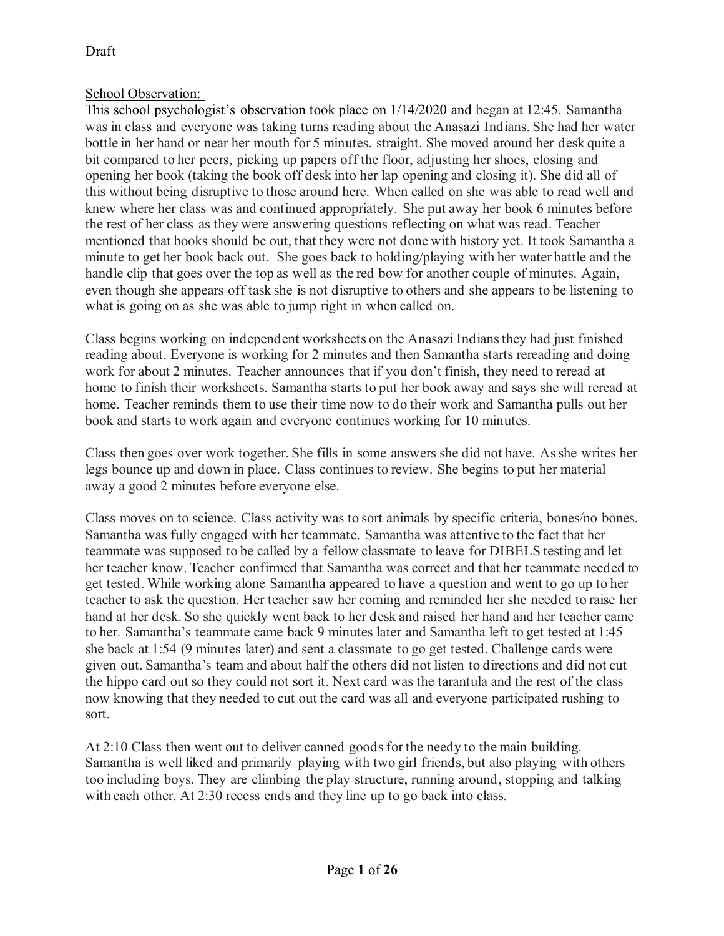#### School Observation:

This school psychologist's observation took place on 1/14/2020 and began at 12:45. Samantha was in class and everyone was taking turns reading about the Anasazi Indians. She had her water bottle in her hand or near her mouth for 5 minutes. straight. She moved around her desk quite a bit compared to her peers, picking up papers off the floor, adjusting her shoes, closing and opening her book (taking the book off desk into her lap opening and closing it). She did all of this without being disruptive to those around here. When called on she was able to read well and knew where her class was and continued appropriately. She put away her book 6 minutes before the rest of her class as they were answering questions reflecting on what was read. Teacher mentioned that books should be out, that they were not done with history yet. It took Samantha a minute to get her book back out. She goes back to holding/playing with her water battle and the handle clip that goes over the top as well as the red bow for another couple of minutes. Again, even though she appears off task she is not disruptive to others and she appears to be listening to what is going on as she was able to jump right in when called on.

Class begins working on independent worksheets on the Anasazi Indians they had just finished reading about. Everyone is working for 2 minutes and then Samantha starts rereading and doing work for about 2 minutes. Teacher announces that if you don't finish, they need to reread at home to finish their worksheets. Samantha starts to put her book away and says she will reread at home. Teacher reminds them to use their time now to do their work and Samantha pulls out her book and starts to work again and everyone continues working for 10 minutes.

Class then goes over work together. She fills in some answers she did not have. As she writes her legs bounce up and down in place. Class continues to review. She begins to put her material away a good 2 minutes before everyone else.

Class moves on to science. Class activity was to sort animals by specific criteria, bones/no bones. Samantha was fully engaged with her teammate. Samantha was attentive to the fact that her teammate was supposed to be called by a fellow classmate to leave for DIBELS testing and let her teacher know. Teacher confirmed that Samantha was correct and that her teammate needed to get tested. While working alone Samantha appeared to have a question and went to go up to her teacher to ask the question. Her teacher saw her coming and reminded her she needed to raise her hand at her desk. So she quickly went back to her desk and raised her hand and her teacher came to her. Samantha's teammate came back 9 minutes later and Samantha left to get tested at 1:45 she back at 1:54 (9 minutes later) and sent a classmate to go get tested. Challenge cards were given out. Samantha's team and about half the others did not listen to directions and did not cut the hippo card out so they could not sort it. Next card was the tarantula and the rest of the class now knowing that they needed to cut out the card was all and everyone participated rushing to sort.

At 2:10 Class then went out to deliver canned goods for the needy to the main building. Samantha is well liked and primarily playing with two girl friends, but also playing with others too including boys. They are climbing the play structure, running around, stopping and talking with each other. At 2:30 recess ends and they line up to go back into class.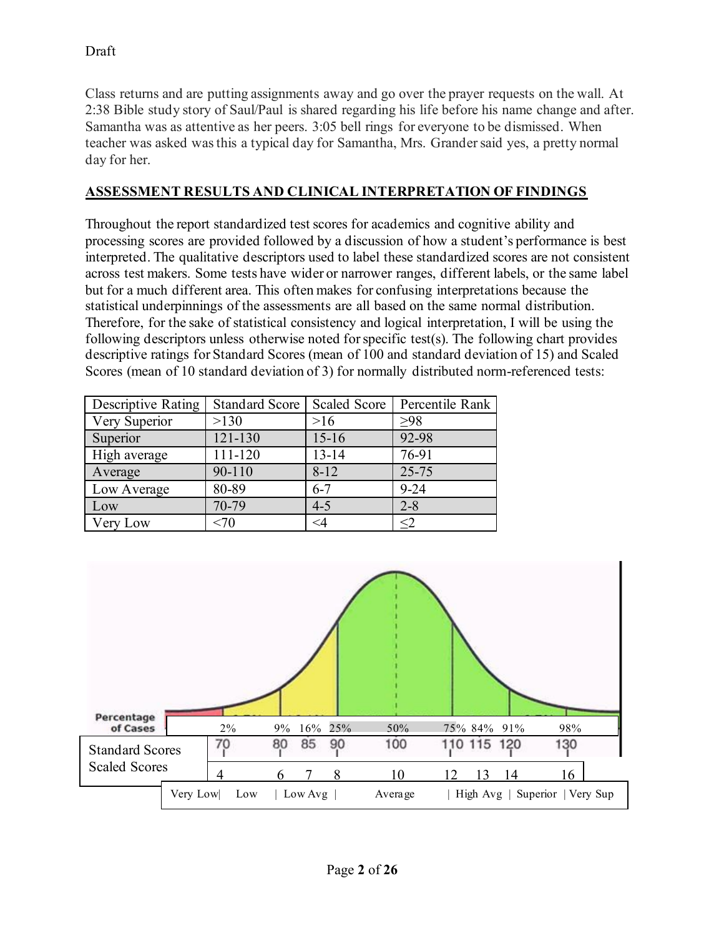Class returns and are putting assignments away and go over the prayer requests on the wall. At 2:38 Bible study story of Saul/Paul is shared regarding his life before his name change and after. Samantha was as attentive as her peers. 3:05 bell rings for everyone to be dismissed. When teacher was asked was this a typical day for Samantha, Mrs. Grandersaid yes, a pretty normal day for her.

### **ASSESSMENT RESULTS AND CLINICAL INTERPRETATION OF FINDINGS**

Throughout the report standardized test scores for academics and cognitive ability and processing scores are provided followed by a discussion of how a student's performance is best interpreted. The qualitative descriptors used to label these standardized scores are not consistent across test makers. Some tests have wider or narrower ranges, different labels, or the same label but for a much different area. This often makes for confusing interpretations because the statistical underpinnings of the assessments are all based on the same normal distribution. Therefore, for the sake of statistical consistency and logical interpretation, I will be using the following descriptors unless otherwise noted for specific test(s). The following chart provides descriptive ratings for Standard Scores (mean of 100 and standard deviation of 15) and Scaled Scores (mean of 10 standard deviation of 3) for normally distributed norm-referenced tests:

| <b>Descriptive Rating</b> | <b>Standard Score</b> | <b>Scaled Score</b> | Percentile Rank |
|---------------------------|-----------------------|---------------------|-----------------|
| Very Superior             | >130                  | $>16$               | >98             |
| Superior                  | 121-130               | $15-16$             | 92-98           |
| High average              | 111-120               | $13 - 14$           | 76-91           |
| Average                   | 90-110                | $8 - 12$            | 25-75           |
| Low Average               | 80-89                 | $6 - 7$             | $9 - 24$        |
| Low                       | 70-79                 | $4 - 5$             | $2 - 8$         |
| Very Low                  | $< \! 70$             | $\leq$ 4            | $\leq$ 2        |

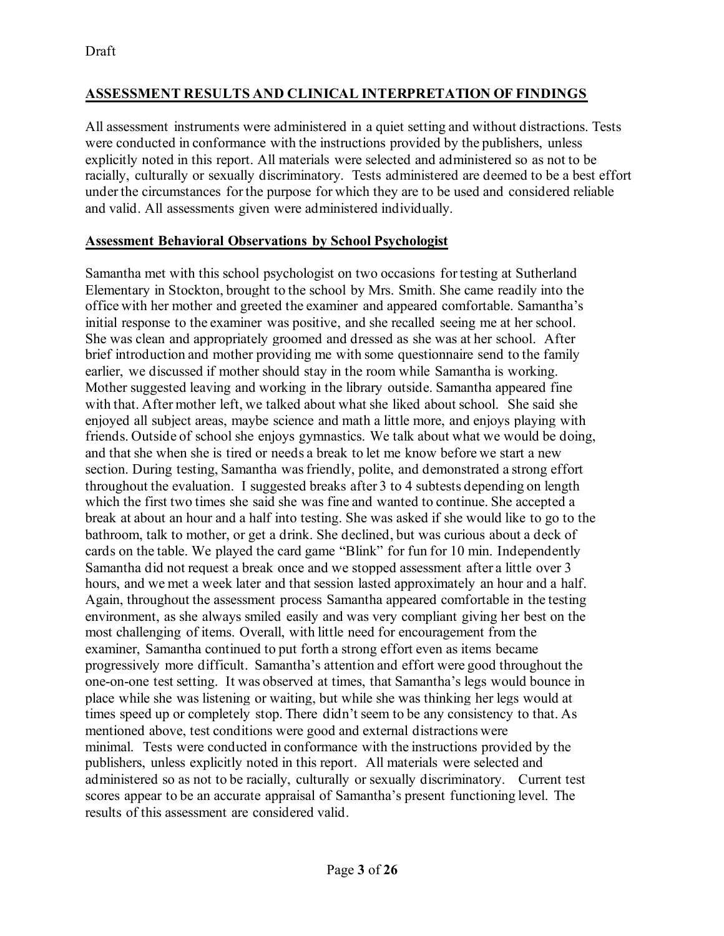#### **ASSESSMENT RESULTS AND CLINICAL INTERPRETATION OF FINDINGS**

All assessment instruments were administered in a quiet setting and without distractions. Tests were conducted in conformance with the instructions provided by the publishers, unless explicitly noted in this report. All materials were selected and administered so as not to be racially, culturally or sexually discriminatory. Tests administered are deemed to be a best effort under the circumstances for the purpose for which they are to be used and considered reliable and valid. All assessments given were administered individually.

#### **Assessment Behavioral Observations by School Psychologist**

Samantha met with this school psychologist on two occasions for testing at Sutherland Elementary in Stockton, brought to the school by Mrs. Smith. She came readily into the office with her mother and greeted the examiner and appeared comfortable. Samantha's initial response to the examiner was positive, and she recalled seeing me at her school. She was clean and appropriately groomed and dressed as she was at her school. After brief introduction and mother providing me with some questionnaire send to the family earlier, we discussed if mother should stay in the room while Samantha is working. Mother suggested leaving and working in the library outside. Samantha appeared fine with that. After mother left, we talked about what she liked about school. She said she enjoyed all subject areas, maybe science and math a little more, and enjoys playing with friends. Outside of school she enjoys gymnastics. We talk about what we would be doing, and that she when she is tired or needs a break to let me know before we start a new section. During testing, Samantha was friendly, polite, and demonstrated a strong effort throughout the evaluation. I suggested breaks after 3 to 4 subtests depending on length which the first two times she said she was fine and wanted to continue. She accepted a break at about an hour and a half into testing. She was asked if she would like to go to the bathroom, talk to mother, or get a drink. She declined, but was curious about a deck of cards on the table. We played the card game "Blink" for fun for 10 min. Independently Samantha did not request a break once and we stopped assessment after a little over 3 hours, and we met a week later and that session lasted approximately an hour and a half. Again, throughout the assessment process Samantha appeared comfortable in the testing environment, as she always smiled easily and was very compliant giving her best on the most challenging of items. Overall, with little need for encouragement from the examiner, Samantha continued to put forth a strong effort even as items became progressively more difficult. Samantha's attention and effort were good throughout the one-on-one test setting. It was observed at times, that Samantha's legs would bounce in place while she was listening or waiting, but while she was thinking her legs would at times speed up or completely stop. There didn't seem to be any consistency to that. As mentioned above, test conditions were good and external distractions were minimal. Tests were conducted in conformance with the instructions provided by the publishers, unless explicitly noted in this report. All materials were selected and administered so as not to be racially, culturally or sexually discriminatory. Current test scores appear to be an accurate appraisal of Samantha's present functioning level. The results of this assessment are considered valid.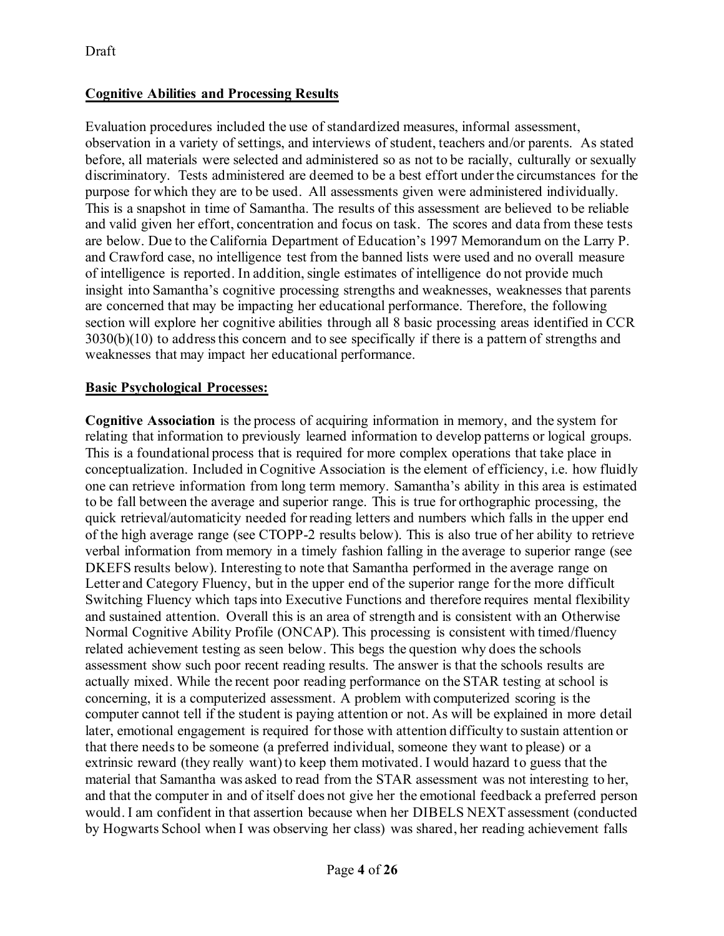#### **Cognitive Abilities and Processing Results**

Evaluation procedures included the use of standardized measures, informal assessment, observation in a variety of settings, and interviews of student, teachers and/or parents. As stated before, all materials were selected and administered so as not to be racially, culturally or sexually discriminatory. Tests administered are deemed to be a best effort under the circumstances for the purpose for which they are to be used. All assessments given were administered individually. This is a snapshot in time of Samantha. The results of this assessment are believed to be reliable and valid given her effort, concentration and focus on task. The scores and data from these tests are below. Due to the California Department of Education's 1997 Memorandum on the Larry P. and Crawford case, no intelligence test from the banned lists were used and no overall measure of intelligence is reported. In addition, single estimates of intelligence do not provide much insight into Samantha's cognitive processing strengths and weaknesses, weaknesses that parents are concerned that may be impacting her educational performance. Therefore, the following section will explore her cognitive abilities through all 8 basic processing areas identified in CCR 3030(b)(10) to address this concern and to see specifically if there is a pattern of strengths and weaknesses that may impact her educational performance.

#### **Basic Psychological Processes:**

**Cognitive Association** is the process of acquiring information in memory, and the system for relating that information to previously learned information to develop patterns or logical groups. This is a foundational process that is required for more complex operations that take place in conceptualization. Included in Cognitive Association is the element of efficiency, i.e. how fluidly one can retrieve information from long term memory. Samantha's ability in this area is estimated to be fall between the average and superior range. This is true for orthographic processing, the quick retrieval/automaticity needed for reading letters and numbers which falls in the upper end of the high average range (see CTOPP-2 results below). This is also true of her ability to retrieve verbal information from memory in a timely fashion falling in the average to superior range (see DKEFS results below). Interesting to note that Samantha performed in the average range on Letter and Category Fluency, but in the upper end of the superior range for the more difficult Switching Fluency which taps into Executive Functions and therefore requires mental flexibility and sustained attention. Overall this is an area of strength and is consistent with an Otherwise Normal Cognitive Ability Profile (ONCAP). This processing is consistent with timed/fluency related achievement testing as seen below. This begs the question why does the schools assessment show such poor recent reading results. The answer is that the schools results are actually mixed. While the recent poor reading performance on the STAR testing at school is concerning, it is a computerized assessment. A problem with computerized scoring is the computer cannot tell if the student is paying attention or not. As will be explained in more detail later, emotional engagement is required for those with attention difficulty to sustain attention or that there needs to be someone (a preferred individual, someone they want to please) or a extrinsic reward (they really want) to keep them motivated. I would hazard to guess that the material that Samantha was asked to read from the STAR assessment was not interesting to her, and that the computer in and of itself does not give her the emotional feedback a preferred person would. I am confident in that assertion because when her DIBELS NEXT assessment (conducted by Hogwarts School when I was observing her class) was shared, her reading achievement falls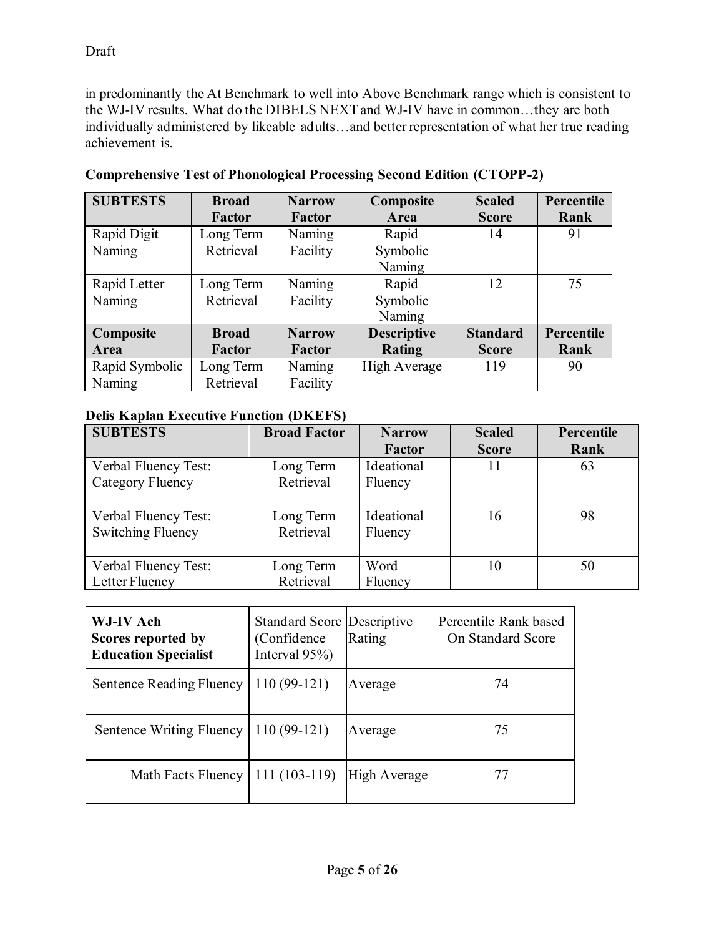in predominantly the At Benchmark to well into Above Benchmark range which is consistent to the WJ-IV results. What do the DIBELS NEXT and WJ-IV have in common…they are both individually administered by likeable adults…and better representation of what her true reading achievement is.

| <b>SUBTESTS</b> | <b>Broad</b><br>Factor | <b>Narrow</b><br>Factor | Composite<br>Area   | <b>Scaled</b><br><b>Score</b> | Percentile<br>Rank |
|-----------------|------------------------|-------------------------|---------------------|-------------------------------|--------------------|
| Rapid Digit     | Long Term              | Naming                  | Rapid               | 14                            | 91                 |
| Naming          | Retrieval              | Facility                | Symbolic            |                               |                    |
|                 |                        |                         | Naming              |                               |                    |
| Rapid Letter    | Long Term              | Naming                  | Rapid               | 12                            | 75                 |
| Naming          | Retrieval              | Facility                | Symbolic            |                               |                    |
|                 |                        |                         | Naming              |                               |                    |
| Composite       | <b>Broad</b>           | <b>Narrow</b>           | <b>Descriptive</b>  | <b>Standard</b>               | Percentile         |
| <b>Area</b>     | Factor                 | Factor                  | Rating              | <b>Score</b>                  | Rank               |
| Rapid Symbolic  | Long Term              | Naming                  | <b>High Average</b> | 119                           | 90                 |
| Naming          | Retrieval              | Facility                |                     |                               |                    |

|  | <b>Comprehensive Test of Phonological Processing Second Edition (CTOPP-2)</b> |  |  |
|--|-------------------------------------------------------------------------------|--|--|
|  |                                                                               |  |  |

#### **Delis Kaplan Executive Function (DKEFS)**

| <b>SUBTESTS</b>          | <b>Broad Factor</b> | <b>Narrow</b> | <b>Scaled</b> | Percentile |
|--------------------------|---------------------|---------------|---------------|------------|
|                          |                     | Factor        | <b>Score</b>  | Rank       |
| Verbal Fluency Test:     | Long Term           | Ideational    | 11            | 63         |
| Category Fluency         | Retrieval           | Fluency       |               |            |
|                          |                     |               |               |            |
| Verbal Fluency Test:     | Long Term           | Ideational    | 16            | 98         |
| <b>Switching Fluency</b> | Retrieval           | Fluency       |               |            |
|                          |                     |               |               |            |
| Verbal Fluency Test:     | Long Term           | Word          | 10            | 50         |
| Letter Fluency           | Retrieval           | Fluency       |               |            |

| WJ-IV Ach<br>Scores reported by<br><b>Education Specialist</b> | <b>Standard Score Descriptive</b><br>(Confidence)<br>Interval 95%) | Rating       | Percentile Rank based<br><b>On Standard Score</b> |
|----------------------------------------------------------------|--------------------------------------------------------------------|--------------|---------------------------------------------------|
| Sentence Reading Fluency                                       | $110(99-121)$                                                      | Average      | 74                                                |
| Sentence Writing Fluency                                       | $110(99-121)$                                                      | Average      | 75                                                |
| Math Facts Fluency                                             | $111(103-119)$                                                     | High Average |                                                   |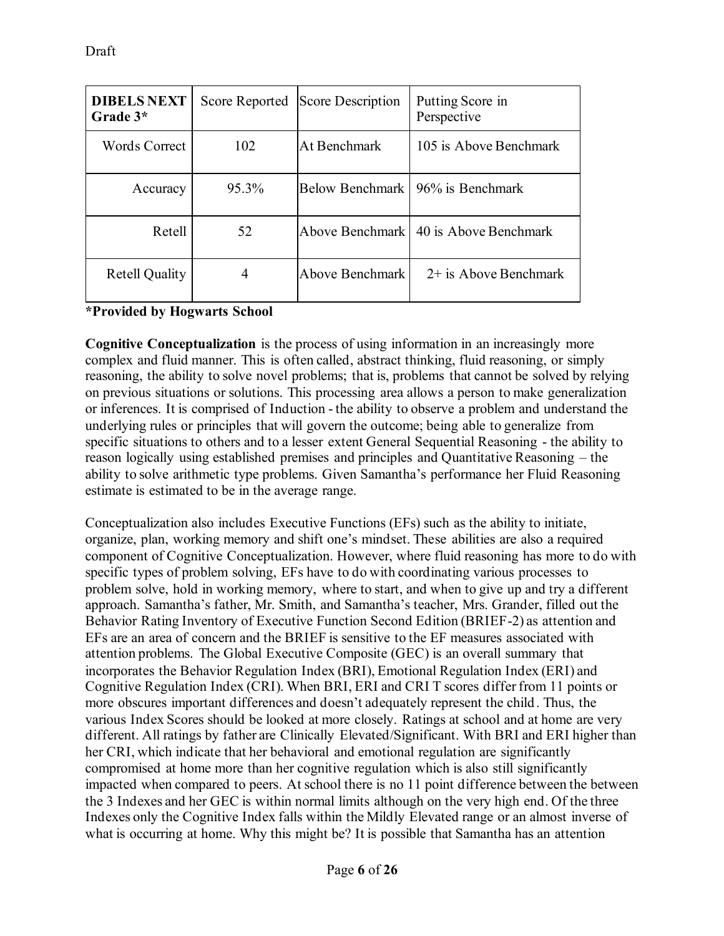| <b>DIBELS NEXT</b><br>Grade 3* | Score Reported | Score Description | Putting Score in<br>Perspective |
|--------------------------------|----------------|-------------------|---------------------------------|
| Words Correct                  | 102            | At Benchmark      | 105 is Above Benchmark          |
| Accuracy                       | 95.3%          | Below Benchmark I | 96% is Benchmark                |
| Retell                         | 52             | Above Benchmark   | 40 is Above Benchmark           |
| <b>Retell Quality</b>          | 4              | Above Benchmark   | $2+$ is Above Benchmark         |

## **\*Provided by Hogwarts School**

**Cognitive Conceptualization** is the process of using information in an increasingly more complex and fluid manner. This is often called, abstract thinking, fluid reasoning, or simply reasoning, the ability to solve novel problems; that is, problems that cannot be solved by relying on previous situations or solutions. This processing area allows a person to make generalization or inferences. It is comprised of Induction - the ability to observe a problem and understand the underlying rules or principles that will govern the outcome; being able to generalize from specific situations to others and to a lesser extent General Sequential Reasoning - the ability to reason logically using established premises and principles and Quantitative Reasoning – the ability to solve arithmetic type problems. Given Samantha's performance her Fluid Reasoning estimate is estimated to be in the average range.

Conceptualization also includes Executive Functions (EFs) such as the ability to initiate, organize, plan, working memory and shift one's mindset. These abilities are also a required component of Cognitive Conceptualization. However, where fluid reasoning has more to do with specific types of problem solving, EFs have to do with coordinating various processes to problem solve, hold in working memory, where to start, and when to give up and try a different approach. Samantha's father, Mr. Smith, and Samantha's teacher, Mrs. Grander, filled out the Behavior Rating Inventory of Executive Function Second Edition (BRIEF-2) as attention and EFs are an area of concern and the BRIEF is sensitive to the EF measures associated with attention problems. The Global Executive Composite (GEC) is an overall summary that incorporates the Behavior Regulation Index (BRI), Emotional Regulation Index (ERI) and Cognitive Regulation Index (CRI). When BRI, ERI and CRI T scores differ from 11 points or more obscures important differences and doesn't adequately represent the child. Thus, the various Index Scores should be looked at more closely. Ratings at school and at home are very different. All ratings by father are Clinically Elevated/Significant. With BRI and ERI higher than her CRI, which indicate that her behavioral and emotional regulation are significantly compromised at home more than her cognitive regulation which is also still significantly impacted when compared to peers. At school there is no 11 point difference between the between the 3 Indexes and her GEC is within normal limits although on the very high end. Of the three Indexes only the Cognitive Index falls within the Mildly Elevated range or an almost inverse of what is occurring at home. Why this might be? It is possible that Samantha has an attention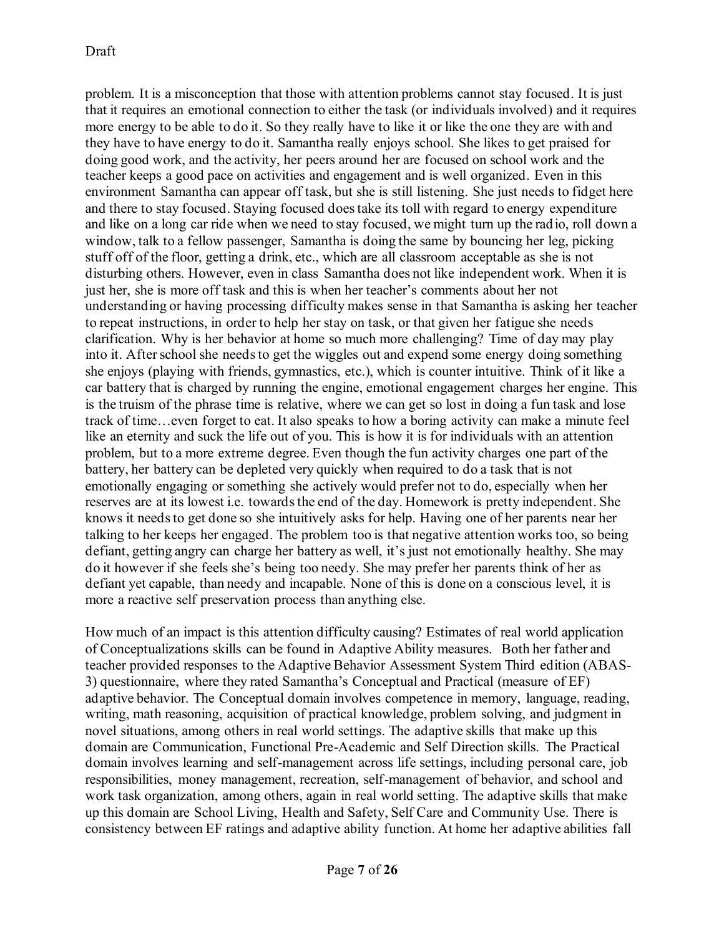problem. It is a misconception that those with attention problems cannot stay focused. It is just that it requires an emotional connection to either the task (or individuals involved) and it requires more energy to be able to do it. So they really have to like it or like the one they are with and they have to have energy to do it. Samantha really enjoys school. She likes to get praised for doing good work, and the activity, her peers around her are focused on school work and the teacher keeps a good pace on activities and engagement and is well organized. Even in this environment Samantha can appear off task, but she is still listening. She just needs to fidget here and there to stay focused. Staying focused does take its toll with regard to energy expenditure and like on a long car ride when we need to stay focused, we might turn up the radio, roll down a window, talk to a fellow passenger, Samantha is doing the same by bouncing her leg, picking stuff off of the floor, getting a drink, etc., which are all classroom acceptable as she is not disturbing others. However, even in class Samantha does not like independent work. When it is just her, she is more off task and this is when her teacher's comments about her not understanding or having processing difficulty makes sense in that Samantha is asking her teacher to repeat instructions, in order to help her stay on task, or that given her fatigue she needs clarification. Why is her behavior at home so much more challenging? Time of day may play into it. After school she needs to get the wiggles out and expend some energy doing something she enjoys (playing with friends, gymnastics, etc.), which is counter intuitive. Think of it like a car battery that is charged by running the engine, emotional engagement charges her engine. This is the truism of the phrase time is relative, where we can get so lost in doing a fun task and lose track of time…even forget to eat. It also speaks to how a boring activity can make a minute feel like an eternity and suck the life out of you. This is how it is for individuals with an attention problem, but to a more extreme degree. Even though the fun activity charges one part of the battery, her battery can be depleted very quickly when required to do a task that is not emotionally engaging or something she actively would prefer not to do, especially when her reserves are at its lowest i.e. towards the end of the day. Homework is pretty independent. She knows it needs to get done so she intuitively asks for help. Having one of her parents near her talking to her keeps her engaged. The problem too is that negative attention works too, so being defiant, getting angry can charge her battery as well, it's just not emotionally healthy. She may do it however if she feels she's being too needy. She may prefer her parents think of her as defiant yet capable, than needy and incapable. None of this is done on a conscious level, it is more a reactive self preservation process than anything else.

How much of an impact is this attention difficulty causing? Estimates of real world application of Conceptualizations skills can be found in Adaptive Ability measures. Both her father and teacher provided responses to the Adaptive Behavior Assessment System Third edition (ABAS-3) questionnaire, where they rated Samantha's Conceptual and Practical (measure of EF) adaptive behavior. The Conceptual domain involves competence in memory, language, reading, writing, math reasoning, acquisition of practical knowledge, problem solving, and judgment in novel situations, among others in real world settings. The adaptive skills that make up this domain are Communication, Functional Pre-Academic and Self Direction skills. The Practical domain involves learning and self-management across life settings, including personal care, job responsibilities, money management, recreation, self-management of behavior, and school and work task organization, among others, again in real world setting. The adaptive skills that make up this domain are School Living, Health and Safety, Self Care and Community Use. There is consistency between EF ratings and adaptive ability function. At home her adaptive abilities fall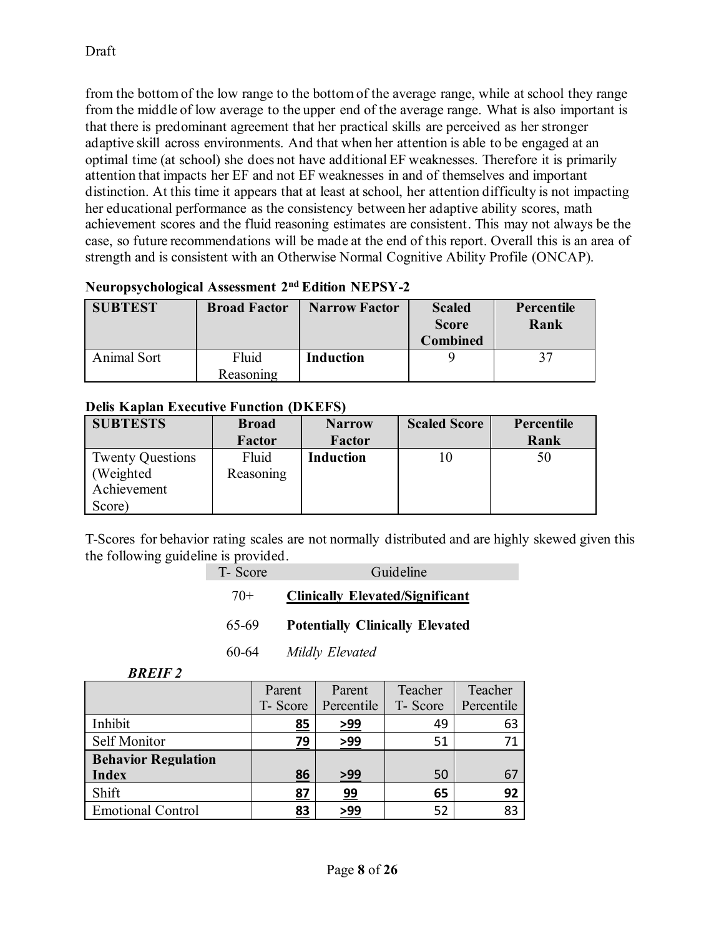from the bottom of the low range to the bottom of the average range, while at school they range from the middle of low average to the upper end of the average range. What is also important is that there is predominant agreement that her practical skills are perceived as her stronger adaptive skill across environments. And that when her attention is able to be engaged at an optimal time (at school) she does not have additional EF weaknesses. Therefore it is primarily attention that impacts her EF and not EF weaknesses in and of themselves and important distinction. At this time it appears that at least at school, her attention difficulty is not impacting her educational performance as the consistency between her adaptive ability scores, math achievement scores and the fluid reasoning estimates are consistent. This may not always be the case, so future recommendations will be made at the end of this report. Overall this is an area of strength and is consistent with an Otherwise Normal Cognitive Ability Profile (ONCAP).

| <b>SUBTEST</b> | <b>Broad Factor</b> | <b>Narrow Factor</b> | <b>Scaled</b><br><b>Score</b><br><b>Combined</b> | Percentile<br>Rank |
|----------------|---------------------|----------------------|--------------------------------------------------|--------------------|
| Animal Sort    | Fluid               | <b>Induction</b>     |                                                  |                    |
|                | Reasoning           |                      |                                                  |                    |

### **Neuropsychological Assessment 2nd Edition NEPSY-2**

#### **Delis Kaplan Executive Function (DKEFS)**

| <b>SUBTESTS</b>         | <b>Broad</b> | <b>Narrow</b>    | <b>Scaled Score</b> | Percentile |
|-------------------------|--------------|------------------|---------------------|------------|
|                         | Factor       | <b>Factor</b>    |                     | Rank       |
| <b>Twenty Questions</b> | Fluid        | <b>Induction</b> |                     | 50         |
| (Weighted)              | Reasoning    |                  |                     |            |
| Achievement             |              |                  |                     |            |
| Score)                  |              |                  |                     |            |

T-Scores for behavior rating scales are not normally distributed and are highly skewed given this the following guideline is provided.

| T-Score | Guideline                              |
|---------|----------------------------------------|
| $70+$   | <b>Clinically Elevated/Significant</b> |
| 65-69   | <b>Potentially Clinically Elevated</b> |
| 60-64   | Mildly Elevated                        |

*BREIF 2*

|                            | Parent  | Parent     | Teacher | Teacher    |
|----------------------------|---------|------------|---------|------------|
|                            | T-Score | Percentile | T-Score | Percentile |
| Inhibit                    | 85      | >99        | 49      | 63         |
| Self Monitor               | 79      | >99        | 51      |            |
| <b>Behavior Regulation</b> |         |            |         |            |
| <b>Index</b>               | 86      | >99        | 50      | 67         |
| Shift                      | 87      | 99         | 65      | 92         |
| <b>Emotional Control</b>   | 83      | >99        | 52      | 83         |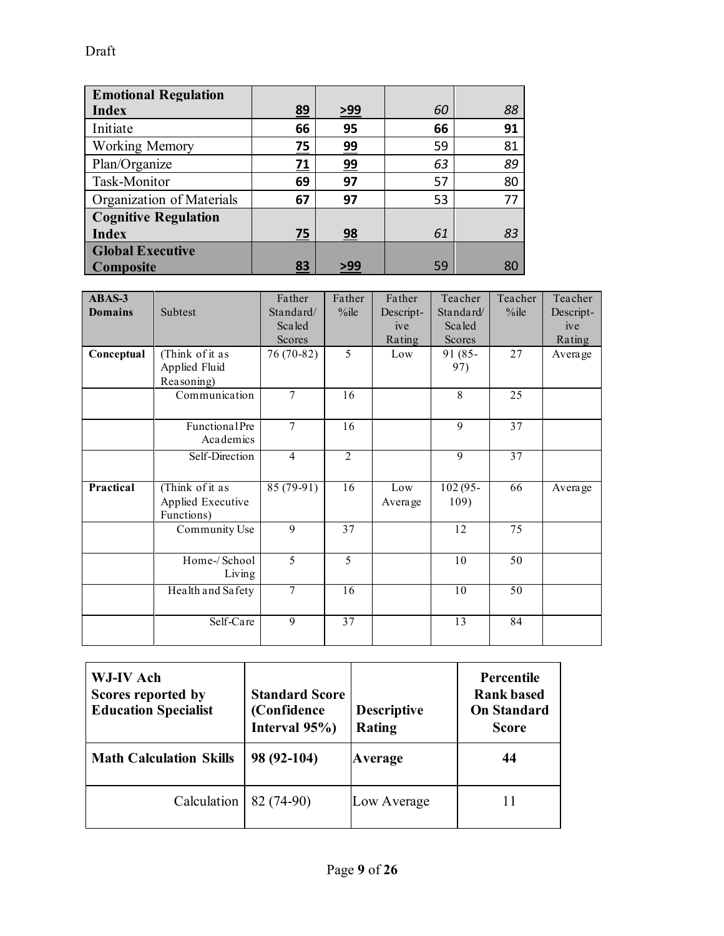| <b>Emotional Regulation</b> |    |           |    |    |
|-----------------------------|----|-----------|----|----|
| <b>Index</b>                | 89 | >99       | 60 | 88 |
| Initiate                    | 66 | 95        | 66 | 91 |
| <b>Working Memory</b>       | 75 | 99        | 59 | 81 |
| Plan/Organize               | 71 | <u>99</u> | 63 | 89 |
| Task-Monitor                | 69 | 97        | 57 | 80 |
| Organization of Materials   | 67 | 97        | 53 | 77 |
| <b>Cognitive Regulation</b> |    |           |    |    |
| <b>Index</b>                | 75 | 98        | 61 | 83 |
| <b>Global Executive</b>     |    |           |    |    |
| <b>Composite</b>            | 83 | 99ء       | 59 | 80 |

| ABAS-3<br><b>Domains</b> | Subtest                                            | Father<br>Standard/<br>Scaled<br>Scores | Father<br>$\%$ ile | Father<br>Descript-<br>ive<br>Rating | Teacher<br>Standard/<br>Scaled<br>Scores | Teacher<br>$\%$ ile | Teacher<br>Descript-<br>ive<br>Rating |
|--------------------------|----------------------------------------------------|-----------------------------------------|--------------------|--------------------------------------|------------------------------------------|---------------------|---------------------------------------|
| Conceptual               | (Think of it as<br>Applied Fluid<br>Reasoning)     | 76 (70-82)                              | 5                  | Low                                  | 91 (85-<br>97)                           | 27                  | Average                               |
|                          | Communication                                      | 7                                       | 16                 |                                      | 8                                        | 25                  |                                       |
|                          | Functional Pre<br>Academics                        | $\overline{7}$                          | 16                 |                                      | 9                                        | 37                  |                                       |
|                          | Self-Direction                                     | $\overline{4}$                          | $\overline{2}$     |                                      | 9                                        | $\overline{37}$     |                                       |
| Practical                | (Think of it as<br>Applied Executive<br>Functions) | $85(79-91)$                             | 16                 | Low<br>Average                       | $102(95 -$<br>109)                       | 66                  | Average                               |
|                          | Community Use                                      | 9                                       | 37                 |                                      | 12                                       | 75                  |                                       |
|                          | Home-/ School<br>Living                            | 5                                       | 5                  |                                      | 10                                       | 50                  |                                       |
|                          | Health and Safety                                  | 7                                       | 16                 |                                      | 10                                       | 50                  |                                       |
|                          | Self-Care                                          | 9                                       | $\overline{37}$    |                                      | 13                                       | 84                  |                                       |

| WJ-IV Ach<br>Scores reported by<br><b>Education Specialist</b> | <b>Standard Score</b><br>(Confidence<br>Interval 95%) | <b>Descriptive</b><br>Rating | Percentile<br><b>Rank based</b><br><b>On Standard</b><br><b>Score</b> |
|----------------------------------------------------------------|-------------------------------------------------------|------------------------------|-----------------------------------------------------------------------|
| <b>Math Calculation Skills</b>                                 | 98 (92-104)                                           | Average                      | 44                                                                    |
| Calculation                                                    | 82 (74-90)                                            | Low Average                  |                                                                       |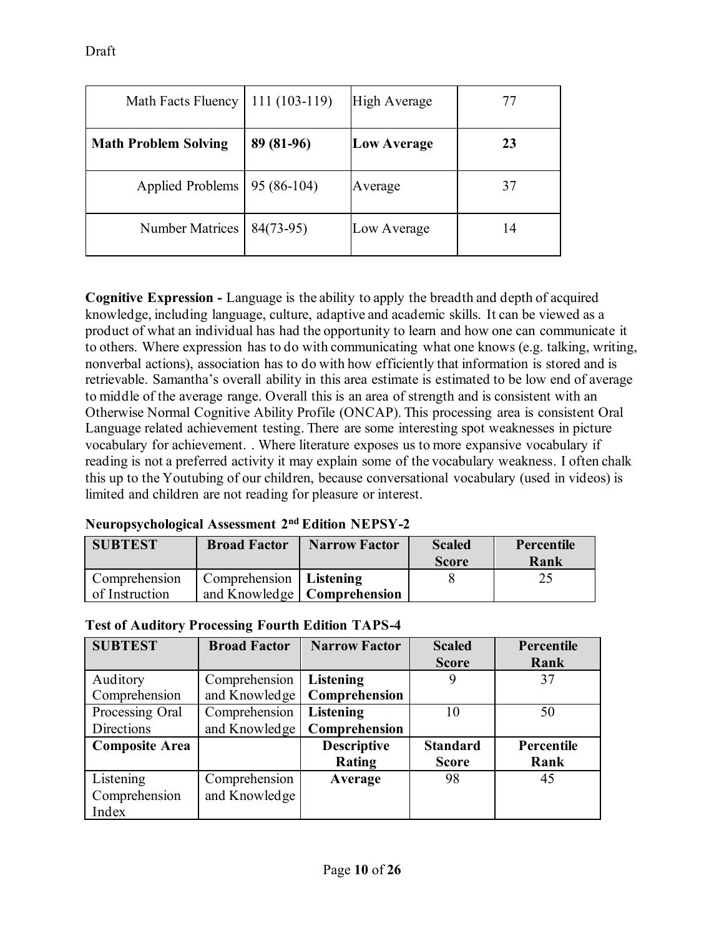| Math Facts Fluency          | $111(103-119)$ | High Average       | 77 |
|-----------------------------|----------------|--------------------|----|
| <b>Math Problem Solving</b> | 89 (81-96)     | <b>Low Average</b> | 23 |
| Applied Problems            | $95(86-104)$   | Average            | 37 |
| <b>Number Matrices</b>      | $84(73-95)$    | Low Average        | 14 |

**Cognitive Expression -** Language is the ability to apply the breadth and depth of acquired knowledge, including language, culture, adaptive and academic skills. It can be viewed as a product of what an individual has had the opportunity to learn and how one can communicate it to others. Where expression has to do with communicating what one knows (e.g. talking, writing, nonverbal actions), association has to do with how efficiently that information is stored and is retrievable. Samantha's overall ability in this area estimate is estimated to be low end of average to middle of the average range. Overall this is an area of strength and is consistent with an Otherwise Normal Cognitive Ability Profile (ONCAP). This processing area is consistent Oral Language related achievement testing. There are some interesting spot weaknesses in picture vocabulary for achievement. . Where literature exposes us to more expansive vocabulary if reading is not a preferred activity it may explain some of the vocabulary weakness. I often chalk this up to the Youtubing of our children, because conversational vocabulary (used in videos) is limited and children are not reading for pleasure or interest.

| Neuropsychological Assessment 2 <sup>nd</sup> Edition NEPSY-2 |  |
|---------------------------------------------------------------|--|
|---------------------------------------------------------------|--|

| <b>SUBTEST</b> | <b>Broad Factor</b>       | <b>Narrow Factor</b>          | <b>Scaled</b> | Percentile |
|----------------|---------------------------|-------------------------------|---------------|------------|
|                |                           |                               | <b>Score</b>  | Rank       |
| Comprehension  | Comprehension   Listening |                               |               | 25         |
| of Instruction |                           | and Knowledge   Comprehension |               |            |

|  |  | <b>Test of Auditory Processing Fourth Edition TAPS-4</b> |  |  |  |
|--|--|----------------------------------------------------------|--|--|--|
|--|--|----------------------------------------------------------|--|--|--|

| <b>SUBTEST</b>        | <b>Broad Factor</b> | <b>Narrow Factor</b> | <b>Scaled</b>   | Percentile |
|-----------------------|---------------------|----------------------|-----------------|------------|
|                       |                     |                      | <b>Score</b>    | Rank       |
| Auditory              | Comprehension       | Listening            |                 | 37         |
| Comprehension         | and Knowledge       | Comprehension        |                 |            |
| Processing Oral       | Comprehension       | <b>Listening</b>     | 10              | 50         |
| Directions            | and Knowledge       | Comprehension        |                 |            |
| <b>Composite Area</b> |                     | <b>Descriptive</b>   | <b>Standard</b> | Percentile |
|                       |                     | Rating               | <b>Score</b>    | Rank       |
| Listening             | Comprehension       | Average              | 98              | 45         |
| Comprehension         | and Knowledge       |                      |                 |            |
| Index                 |                     |                      |                 |            |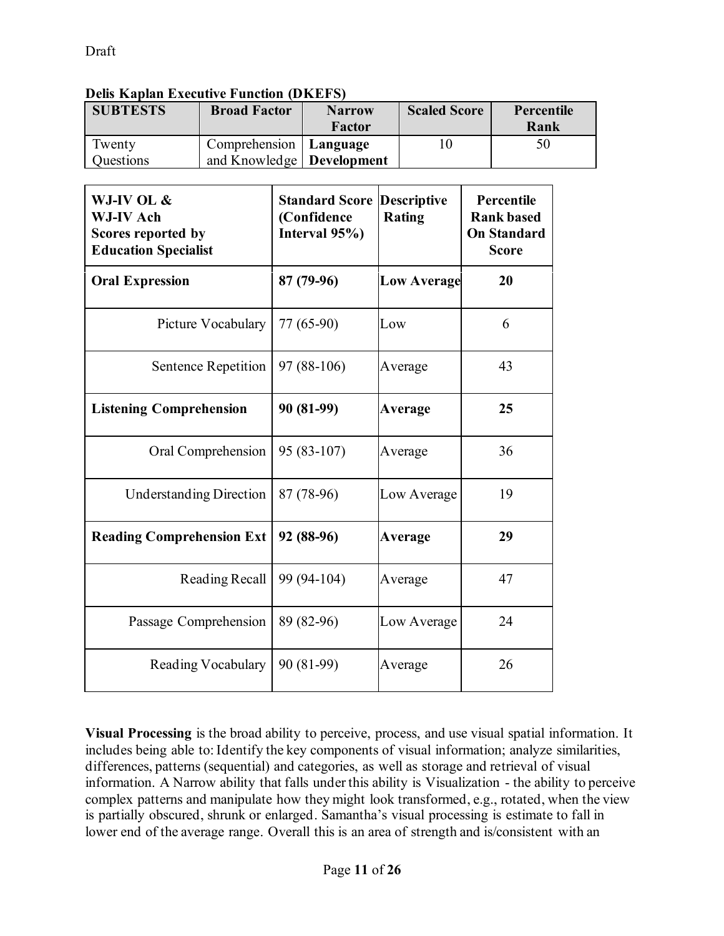| Dens Ixapian Laccutive I unction (DIXLI D) |                             |                         |                     |                    |  |
|--------------------------------------------|-----------------------------|-------------------------|---------------------|--------------------|--|
| <b>SUBTESTS</b>                            | <b>Broad Factor</b>         | <b>Narrow</b><br>Factor | <b>Scaled Score</b> | Percentile<br>Rank |  |
|                                            |                             |                         |                     |                    |  |
| Twenty                                     | Comprehension   Language    |                         |                     | 50                 |  |
| <b>Ouestions</b>                           | and Knowledge   Development |                         |                     |                    |  |

**Delis Kaplan Executive Function (DKEFS)**

| WJ-IV OL &<br><b>WJ-IV Ach</b><br>Scores reported by<br><b>Education Specialist</b> | <b>Standard Score</b><br>(Confidence<br>Interval 95%) | <b>Descriptive</b><br>Rating | Percentile<br><b>Rank based</b><br><b>On Standard</b><br><b>Score</b> |
|-------------------------------------------------------------------------------------|-------------------------------------------------------|------------------------------|-----------------------------------------------------------------------|
| <b>Oral Expression</b>                                                              | 87 (79-96)                                            | <b>Low Average</b>           | 20                                                                    |
| Picture Vocabulary                                                                  | $77(65-90)$                                           | Low                          | 6                                                                     |
| Sentence Repetition                                                                 | 97 (88-106)                                           | Average                      | 43                                                                    |
| <b>Listening Comprehension</b>                                                      | 90 (81-99)                                            | Average                      | 25                                                                    |
| Oral Comprehension                                                                  | 95 (83-107)                                           | Average                      | 36                                                                    |
| <b>Understanding Direction</b>                                                      | 87 (78-96)                                            | Low Average                  | 19                                                                    |
| <b>Reading Comprehension Ext</b>                                                    | 92 (88-96)                                            | Average                      | 29                                                                    |
| Reading Recall                                                                      | 99 (94-104)                                           | Average                      | 47                                                                    |
| Passage Comprehension                                                               | 89 (82-96)                                            | Low Average                  | 24                                                                    |
| Reading Vocabulary                                                                  | 90 (81-99)                                            | Average                      | 26                                                                    |

**Visual Processing** is the broad ability to perceive, process, and use visual spatial information. It includes being able to: Identify the key components of visual information; analyze similarities, differences, patterns (sequential) and categories, as well as storage and retrieval of visual information. A Narrow ability that falls under this ability is Visualization - the ability to perceive complex patterns and manipulate how they might look transformed, e.g., rotated, when the view is partially obscured, shrunk or enlarged. Samantha's visual processing is estimate to fall in lower end of the average range. Overall this is an area of strength and is/consistent with an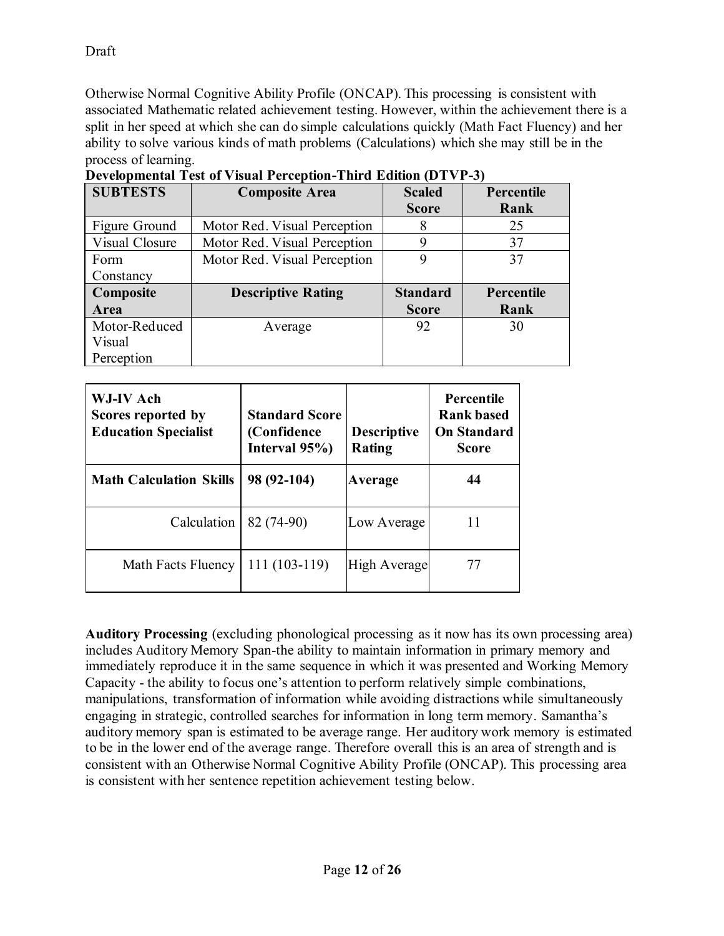Otherwise Normal Cognitive Ability Profile (ONCAP). This processing is consistent with associated Mathematic related achievement testing. However, within the achievement there is a split in her speed at which she can do simple calculations quickly (Math Fact Fluency) and her ability to solve various kinds of math problems (Calculations) which she may still be in the process of learning.

| <b>SUBTESTS</b>  | <b>Composite Area</b>        | <b>Scaled</b>   | Percentile |
|------------------|------------------------------|-----------------|------------|
|                  |                              | <b>Score</b>    | Rank       |
| Figure Ground    | Motor Red. Visual Perception | 8               | 25         |
| Visual Closure   | Motor Red. Visual Perception | 9               | 37         |
| Form             | Motor Red. Visual Perception | 9               | 37         |
| Constancy        |                              |                 |            |
| <b>Composite</b> | <b>Descriptive Rating</b>    | <b>Standard</b> | Percentile |
| Area             |                              | <b>Score</b>    | Rank       |
| Motor-Reduced    | Average                      | 92              | 30         |
| Visual           |                              |                 |            |
| Perception       |                              |                 |            |

**Developmental Test of Visual Perception-Third Edition (DTVP-3)**

| WJ-IV Ach<br>Scores reported by<br><b>Education Specialist</b> | <b>Standard Score</b><br>(Confidence)<br>Interval 95%) | <b>Descriptive</b><br>Rating | Percentile<br>Rank based<br><b>On Standard</b><br><b>Score</b> |
|----------------------------------------------------------------|--------------------------------------------------------|------------------------------|----------------------------------------------------------------|
| <b>Math Calculation Skills</b>                                 | 98 (92-104)                                            | Average                      | 44                                                             |
| Calculation                                                    | 82 (74-90)                                             | Low Average                  | 11                                                             |
| Math Facts Fluency                                             | $111(103-119)$                                         | High Average                 | 77                                                             |

**Auditory Processing** (excluding phonological processing as it now has its own processing area) includes Auditory Memory Span-the ability to maintain information in primary memory and immediately reproduce it in the same sequence in which it was presented and Working Memory Capacity - the ability to focus one's attention to perform relatively simple combinations, manipulations, transformation of information while avoiding distractions while simultaneously engaging in strategic, controlled searches for information in long term memory. Samantha's auditory memory span is estimated to be average range. Her auditory work memory is estimated to be in the lower end of the average range. Therefore overall this is an area of strength and is consistent with an Otherwise Normal Cognitive Ability Profile (ONCAP). This processing area is consistent with her sentence repetition achievement testing below.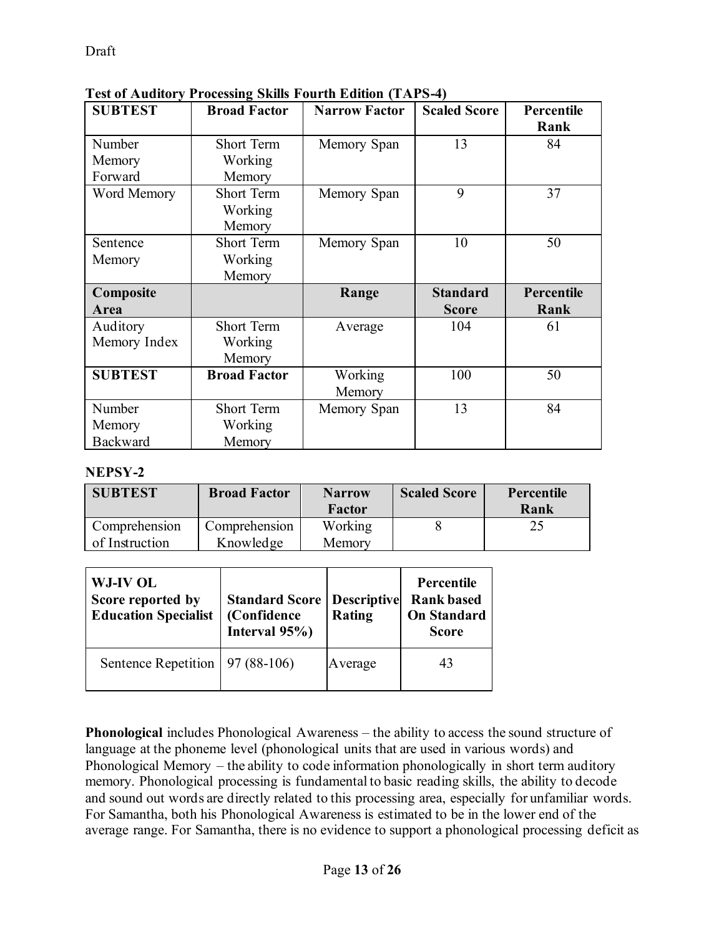| <b>SUBTEST</b>               | <b>Broad Factor</b>                    | <b>Narrow Factor</b> | <b>Scaled Score</b>             | Percentile<br>Rank |
|------------------------------|----------------------------------------|----------------------|---------------------------------|--------------------|
| Number<br>Memory<br>Forward  | <b>Short Term</b><br>Working<br>Memory | Memory Span          | 13                              | 84                 |
| Word Memory                  | <b>Short Term</b><br>Working<br>Memory | Memory Span          | 9                               | 37                 |
| Sentence<br>Memory           | <b>Short Term</b><br>Working<br>Memory | Memory Span          | 10                              | 50                 |
| Composite<br>Area            |                                        | Range                | <b>Standard</b><br><b>Score</b> | Percentile<br>Rank |
| Auditory<br>Memory Index     | <b>Short Term</b><br>Working<br>Memory | Average              | 104                             | 61                 |
| <b>SUBTEST</b>               | <b>Broad Factor</b>                    | Working<br>Memory    | 100                             | 50                 |
| Number<br>Memory<br>Backward | <b>Short Term</b><br>Working<br>Memory | Memory Span          | 13                              | 84                 |

**Test of Auditory Processing Skills Fourth Edition (TAPS-4)**

#### **NEPSY-2**

| <b>SUBTEST</b> | <b>Broad Factor</b> | <b>Narrow</b><br>Factor | <b>Scaled Score</b> | Percentile<br>Rank |
|----------------|---------------------|-------------------------|---------------------|--------------------|
| Comprehension  | Comprehension       | Working                 |                     |                    |
| of Instruction | Knowledge           | Memory                  |                     |                    |

| WJ-IV OL<br>Score reported by<br><b>Education Specialist</b> | <b>Standard Score   Descriptive </b><br>(Confidence<br>Interval 95%) | Rating  | Percentile<br><b>Rank based</b><br><b>On Standard</b><br><b>Score</b> |
|--------------------------------------------------------------|----------------------------------------------------------------------|---------|-----------------------------------------------------------------------|
| <b>Sentence Repetition</b>                                   | $97(88-106)$                                                         | Average | 43                                                                    |

**Phonological includes Phonological Awareness – the ability to access the sound structure of** language at the phoneme level (phonological units that are used in various words) and Phonological Memory – the ability to code information phonologically in short term auditory memory. Phonological processing is fundamental to basic reading skills, the ability to decode and sound out words are directly related to this processing area, especially for unfamiliar words. For Samantha, both his Phonological Awareness is estimated to be in the lower end of the average range. For Samantha, there is no evidence to support a phonological processing deficit as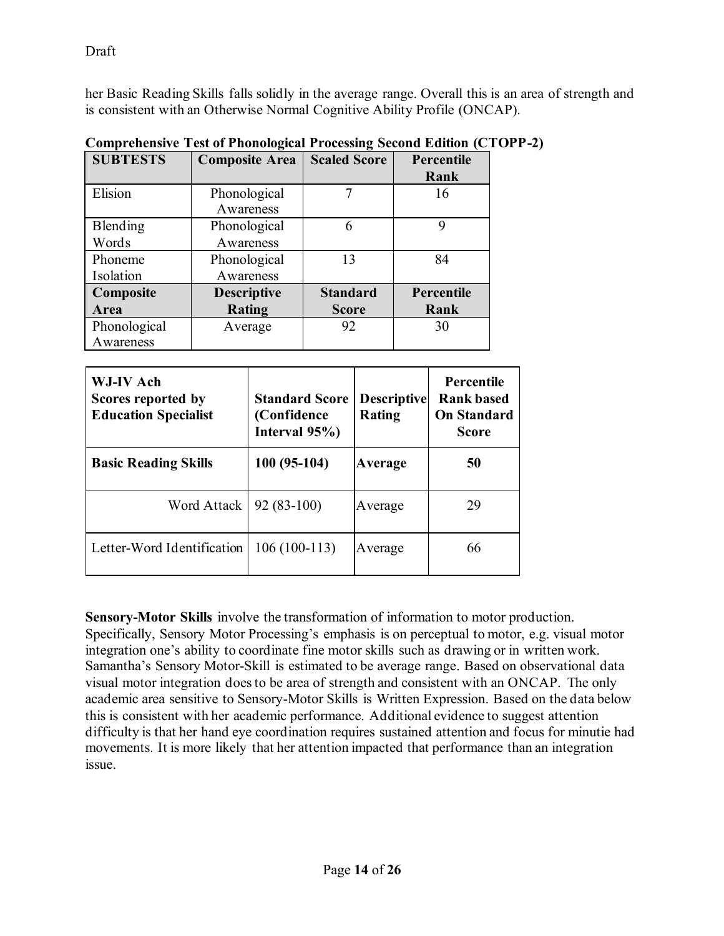her Basic Reading Skills falls solidly in the average range. Overall this is an area of strength and is consistent with an Otherwise Normal Cognitive Ability Profile (ONCAP).

| <b>SUBTESTS</b> | <b>Composite Area</b> | <b>Scaled Score</b> | Percentile |
|-----------------|-----------------------|---------------------|------------|
|                 |                       |                     | Rank       |
| Elision         | Phonological          |                     | 16         |
|                 | Awareness             |                     |            |
| Blending        | Phonological          | 6                   | 9          |
| Words           | Awareness             |                     |            |
| Phoneme         | Phonological          | 13                  | 84         |
| Isolation       | Awareness             |                     |            |
| Composite       | <b>Descriptive</b>    | <b>Standard</b>     | Percentile |
| Area            | <b>Rating</b>         | <b>Score</b>        | Rank       |
| Phonological    | Average               | 92                  | 30         |
| Awareness       |                       |                     |            |

**Comprehensive Test of Phonological Processing Second Edition (CTOPP-2)**

| WJ-IV Ach<br>Scores reported by<br><b>Education Specialist</b> | <b>Standard Score</b><br>(Confidence<br>Interval 95%) | <b>Descriptive</b><br>Rating | Percentile<br><b>Rank based</b><br><b>On Standard</b><br><b>Score</b> |
|----------------------------------------------------------------|-------------------------------------------------------|------------------------------|-----------------------------------------------------------------------|
| <b>Basic Reading Skills</b>                                    | $100(95-104)$                                         | Average                      | 50                                                                    |
| Word Attack   92 (83-100)                                      |                                                       | Average                      | 29                                                                    |
| Letter-Word Identification                                     | $106(100-113)$                                        | Average                      | 66                                                                    |

**Sensory-Motor Skills** involve the transformation of information to motor production. Specifically, Sensory Motor Processing's emphasis is on perceptual to motor, e.g. visual motor integration one's ability to coordinate fine motor skills such as drawing or in written work. Samantha's Sensory Motor-Skill is estimated to be average range. Based on observational data visual motor integration does to be area of strength and consistent with an ONCAP. The only academic area sensitive to Sensory-Motor Skills is Written Expression. Based on the data below this is consistent with her academic performance. Additional evidence to suggest attention difficulty is that her hand eye coordination requires sustained attention and focus for minutie had movements. It is more likely that her attention impacted that performance than an integration issue.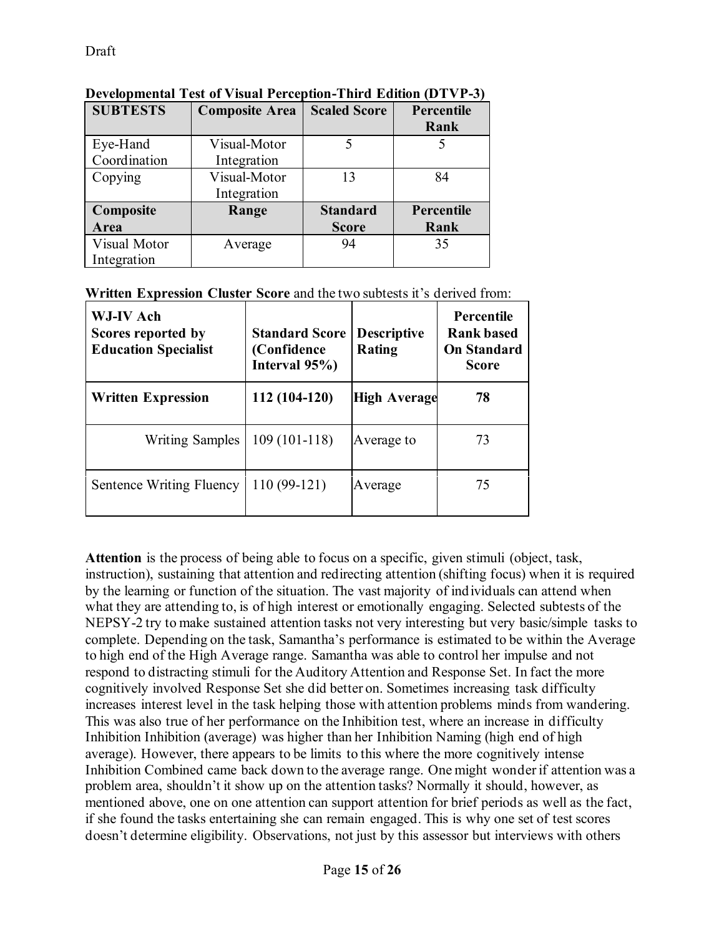| <b>SUBTESTS</b>  | <b>Composite Area</b> | <b>Scaled Score</b> | Percentile<br>Rank |
|------------------|-----------------------|---------------------|--------------------|
| Eye-Hand         | Visual-Motor          |                     |                    |
| Coordination     | Integration           |                     |                    |
| Copying          | Visual-Motor          | 13                  | 84                 |
|                  | Integration           |                     |                    |
| <b>Composite</b> | Range                 | <b>Standard</b>     | Percentile         |
| Area             |                       | <b>Score</b>        | Rank               |
| Visual Motor     | Average               | 94                  | 35                 |
| Integration      |                       |                     |                    |

**Developmental Test of Visual Perception-Third Edition (DTVP-3)**

**Written Expression Cluster Score** and the two subtests it's derived from:

| WJ-IV Ach<br>Scores reported by<br><b>Education Specialist</b> | <b>Standard Score</b><br>(Confidence<br>Interval 95%) | <b>Descriptive</b><br>Rating | Percentile<br>Rank based<br><b>On Standard</b><br><b>Score</b> |
|----------------------------------------------------------------|-------------------------------------------------------|------------------------------|----------------------------------------------------------------|
| <b>Written Expression</b>                                      | 112 (104-120)                                         | High Average                 | 78                                                             |
| <b>Writing Samples</b>                                         | 109 (101-118)                                         | Average to                   | 73                                                             |
| Sentence Writing Fluency                                       | 110 (99-121)                                          | Average                      | 75                                                             |

**Attention** is the process of being able to focus on a specific, given stimuli (object, task, instruction), sustaining that attention and redirecting attention (shifting focus) when it is required by the learning or function of the situation. The vast majority of individuals can attend when what they are attending to, is of high interest or emotionally engaging. Selected subtests of the NEPSY-2 try to make sustained attention tasks not very interesting but very basic/simple tasks to complete. Depending on the task, Samantha's performance is estimated to be within the Average to high end of the High Average range. Samantha was able to control her impulse and not respond to distracting stimuli for the Auditory Attention and Response Set. In fact the more cognitively involved Response Set she did better on. Sometimes increasing task difficulty increases interest level in the task helping those with attention problems minds from wandering. This was also true of her performance on the Inhibition test, where an increase in difficulty Inhibition Inhibition (average) was higher than her Inhibition Naming (high end of high average). However, there appears to be limits to this where the more cognitively intense Inhibition Combined came back down to the average range. One might wonder if attention was a problem area, shouldn't it show up on the attention tasks? Normally it should, however, as mentioned above, one on one attention can support attention for brief periods as well as the fact, if she found the tasks entertaining she can remain engaged. This is why one set of test scores doesn't determine eligibility. Observations, not just by this assessor but interviews with others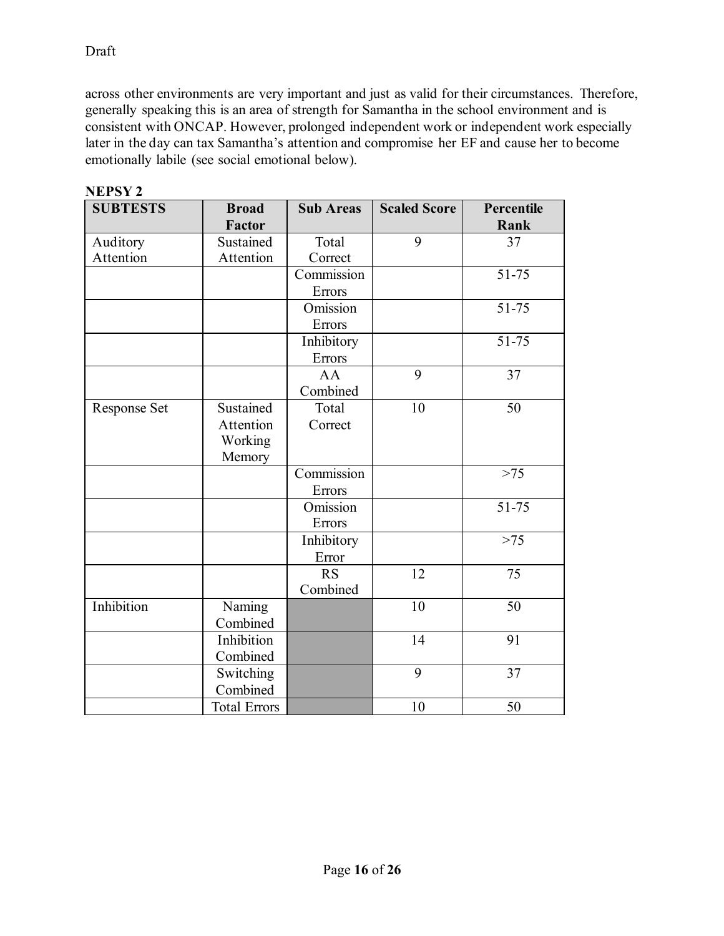across other environments are very important and just as valid for their circumstances. Therefore, generally speaking this is an area of strength for Samantha in the school environment and is consistent with ONCAP. However, prolonged independent work or independent work especially later in the day can tax Samantha's attention and compromise her EF and cause her to become emotionally labile (see social emotional below).

| <b>SUBTESTS</b>     | <b>Broad</b>        | <b>Sub Areas</b> | <b>Scaled Score</b> | Percentile      |
|---------------------|---------------------|------------------|---------------------|-----------------|
|                     | Factor              |                  |                     | Rank            |
| Auditory            | Sustained           | Total            | 9                   | 37              |
| Attention           | Attention           | Correct          |                     |                 |
|                     |                     | Commission       |                     | $51 - 75$       |
|                     |                     | Errors           |                     |                 |
|                     |                     | Omission         |                     | 51-75           |
|                     |                     | Errors           |                     |                 |
|                     |                     | Inhibitory       |                     | $51 - 75$       |
|                     |                     | Errors           |                     |                 |
|                     |                     | AA               | 9                   | 37              |
|                     |                     | Combined         |                     |                 |
| <b>Response Set</b> | Sustained           | Total            | 10                  | 50              |
|                     | Attention           | Correct          |                     |                 |
|                     | Working             |                  |                     |                 |
|                     | Memory              |                  |                     |                 |
|                     |                     | Commission       |                     | $>75$           |
|                     |                     | Errors           |                     |                 |
|                     |                     | Omission         |                     | 51-75           |
|                     |                     | Errors           |                     |                 |
|                     |                     | Inhibitory       |                     | $>75$           |
|                     |                     | Error            |                     |                 |
|                     |                     | <b>RS</b>        | 12                  | 75              |
|                     |                     | Combined         |                     |                 |
| Inhibition          | Naming              |                  | 10                  | $\overline{50}$ |
|                     | Combined            |                  |                     |                 |
|                     | Inhibition          |                  | 14                  | 91              |
|                     | Combined            |                  |                     |                 |
|                     | Switching           |                  | 9                   | 37              |
|                     | Combined            |                  |                     |                 |
|                     | <b>Total Errors</b> |                  | 10                  | 50              |

### **NEPSY 2**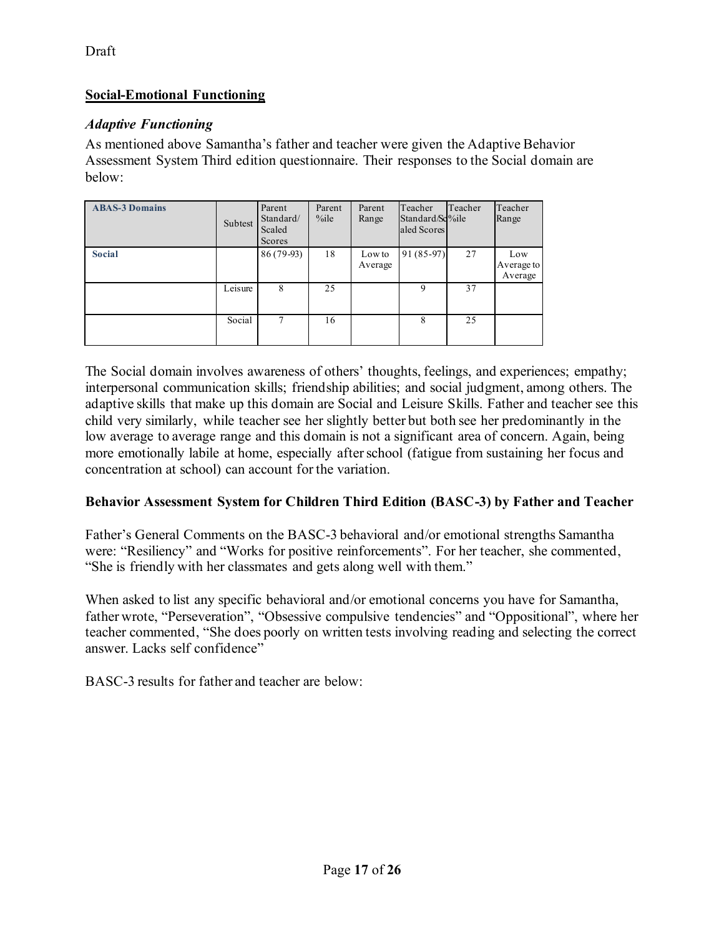### **Social-Emotional Functioning**

### *Adaptive Functioning*

As mentioned above Samantha's father and teacher were given the Adaptive Behavior Assessment System Third edition questionnaire. Their responses to the Social domain are below:

| <b>ABAS-3 Domains</b> | Subtest | Parent<br>Standard/<br>Scaled<br>Scores | Parent<br>$\%$ ile | Parent<br>Range   | Teacher<br>Standard/Sc <sup>%</sup> ile<br>aled Scores | Teacher | Teacher<br>Range             |
|-----------------------|---------|-----------------------------------------|--------------------|-------------------|--------------------------------------------------------|---------|------------------------------|
| <b>Social</b>         |         | 86 (79-93)                              | 18                 | Low to<br>Average | 91 (85-97)                                             | 27      | Low<br>Average to<br>Average |
|                       | Leisure | 8                                       | 25                 |                   | 9                                                      | 37      |                              |
|                       | Social  | 7                                       | 16                 |                   | 8                                                      | 25      |                              |

The Social domain involves awareness of others' thoughts, feelings, and experiences; empathy; interpersonal communication skills; friendship abilities; and social judgment, among others. The adaptive skills that make up this domain are Social and Leisure Skills. Father and teacher see this child very similarly, while teacher see her slightly better but both see her predominantly in the low average to average range and this domain is not a significant area of concern. Again, being more emotionally labile at home, especially after school (fatigue from sustaining her focus and concentration at school) can account for the variation.

### **Behavior Assessment System for Children Third Edition (BASC-3) by Father and Teacher**

Father's General Comments on the BASC-3 behavioral and/or emotional strengths Samantha were: "Resiliency" and "Works for positive reinforcements". For her teacher, she commented, "She is friendly with her classmates and gets along well with them."

When asked to list any specific behavioral and/or emotional concerns you have for Samantha, father wrote, "Perseveration", "Obsessive compulsive tendencies" and "Oppositional", where her teacher commented, "She does poorly on written tests involving reading and selecting the correct answer. Lacks self confidence"

BASC-3 results for father and teacher are below: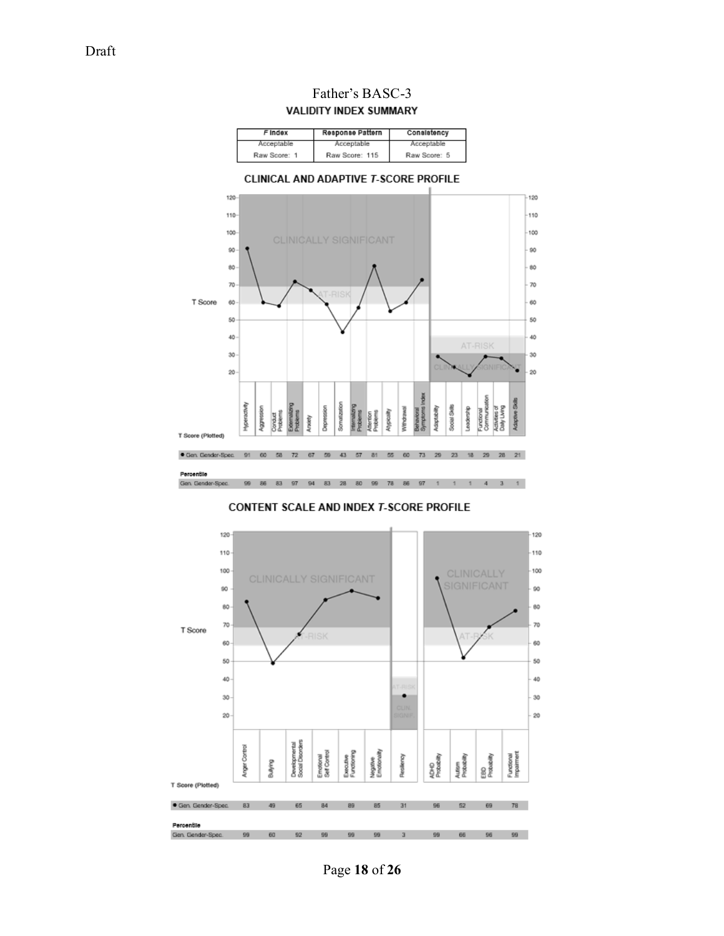#### Father's BASC-3**VALIDITY INDEX SUMMARY**

| <b>Findex</b> | Response Pattern | Consistency  |
|---------------|------------------|--------------|
| Acceptable    | Acceptable       | Acceptable   |
| Raw Score: 1  | Raw Score: 115   | Raw Score: 5 |

#### CLINICAL AND ADAPTIVE T-SCORE PROFILE



#### CONTENT SCALE AND INDEX T-SCORE PROFILE

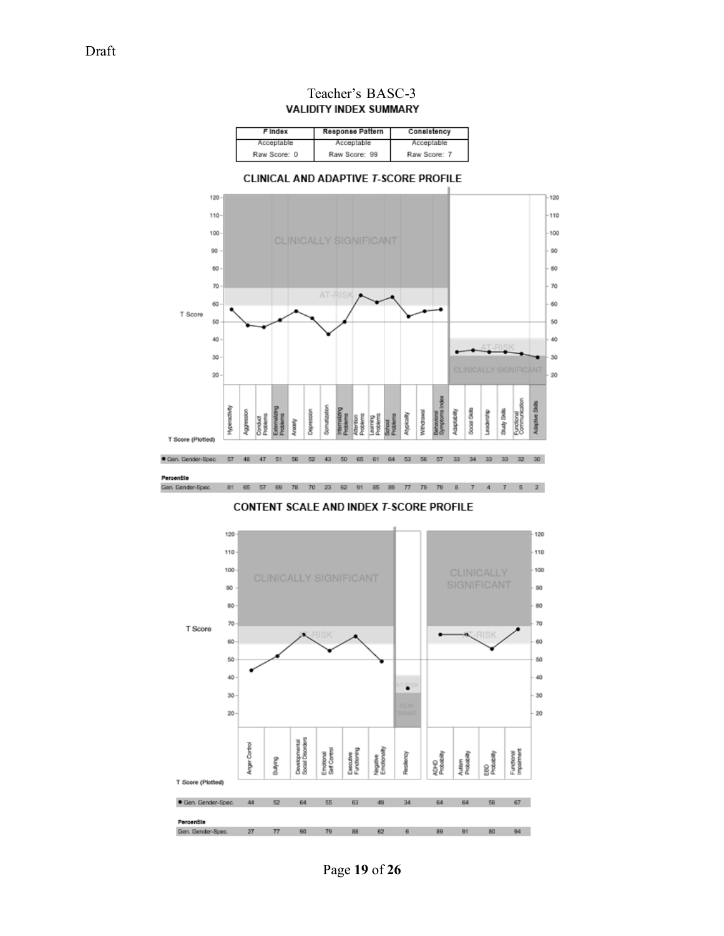#### Teacher's BASC-3VALIDITY INDEX SUMMARY

| F Index      | Response Pattern | Consistency  |
|--------------|------------------|--------------|
| Acceptable   | Acceptable       | Acceptable   |
| Raw Score: 0 | Raw Score: 99    | Raw Score: 7 |

CLINICAL AND ADAPTIVE T-SCORE PROFILE



CONTENT SCALE AND INDEX T-SCORE PROFILE

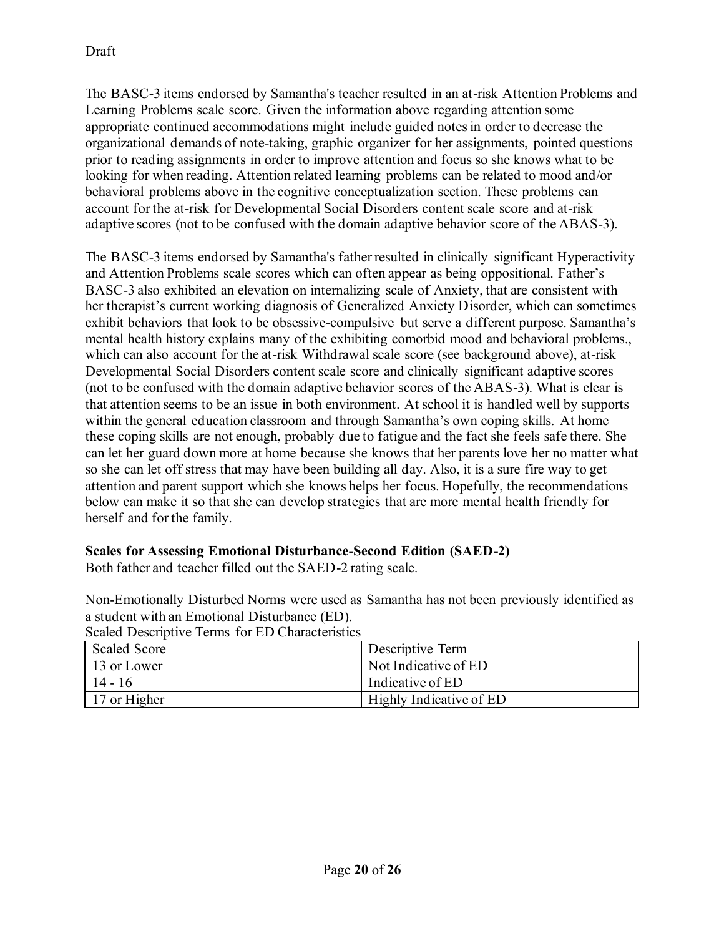The BASC-3 items endorsed by Samantha's teacher resulted in an at-risk Attention Problems and Learning Problems scale score. Given the information above regarding attention some appropriate continued accommodations might include guided notes in order to decrease the organizational demands of note-taking, graphic organizer for her assignments, pointed questions prior to reading assignments in order to improve attention and focus so she knows what to be looking for when reading. Attention related learning problems can be related to mood and/or behavioral problems above in the cognitive conceptualization section. These problems can account for the at-risk for Developmental Social Disorders content scale score and at-risk adaptive scores (not to be confused with the domain adaptive behavior score of the ABAS-3).

The BASC-3 items endorsed by Samantha's father resulted in clinically significant Hyperactivity and Attention Problems scale scores which can often appear as being oppositional. Father's BASC-3 also exhibited an elevation on internalizing scale of Anxiety, that are consistent with her therapist's current working diagnosis of Generalized Anxiety Disorder, which can sometimes exhibit behaviors that look to be obsessive-compulsive but serve a different purpose. Samantha's mental health history explains many of the exhibiting comorbid mood and behavioral problems., which can also account for the at-risk Withdrawal scale score (see background above), at-risk Developmental Social Disorders content scale score and clinically significant adaptive scores (not to be confused with the domain adaptive behavior scores of the ABAS-3). What is clear is that attention seems to be an issue in both environment. At school it is handled well by supports within the general education classroom and through Samantha's own coping skills. At home these coping skills are not enough, probably due to fatigue and the fact she feels safe there. She can let her guard down more at home because she knows that her parents love her no matter what so she can let off stress that may have been building all day. Also, it is a sure fire way to get attention and parent support which she knows helps her focus. Hopefully, the recommendations below can make it so that she can develop strategies that are more mental health friendly for herself and for the family.

### **Scales for Assessing Emotional Disturbance-Second Edition (SAED-2)**

Both father and teacher filled out the SAED-2 rating scale.

Non-Emotionally Disturbed Norms were used as Samantha has not been previously identified as a student with an Emotional Disturbance (ED).

| <b>Bearch Descriptive Tenns for ED Characteristics</b> |                         |  |  |  |  |
|--------------------------------------------------------|-------------------------|--|--|--|--|
| Scaled Score                                           | Descriptive Term        |  |  |  |  |
| 13 or Lower                                            | Not Indicative of ED    |  |  |  |  |
| $14 - 16$                                              | Indicative of ED        |  |  |  |  |
| 17 or Higher                                           | Highly Indicative of ED |  |  |  |  |

Scaled Descriptive Terms for ED Characteristics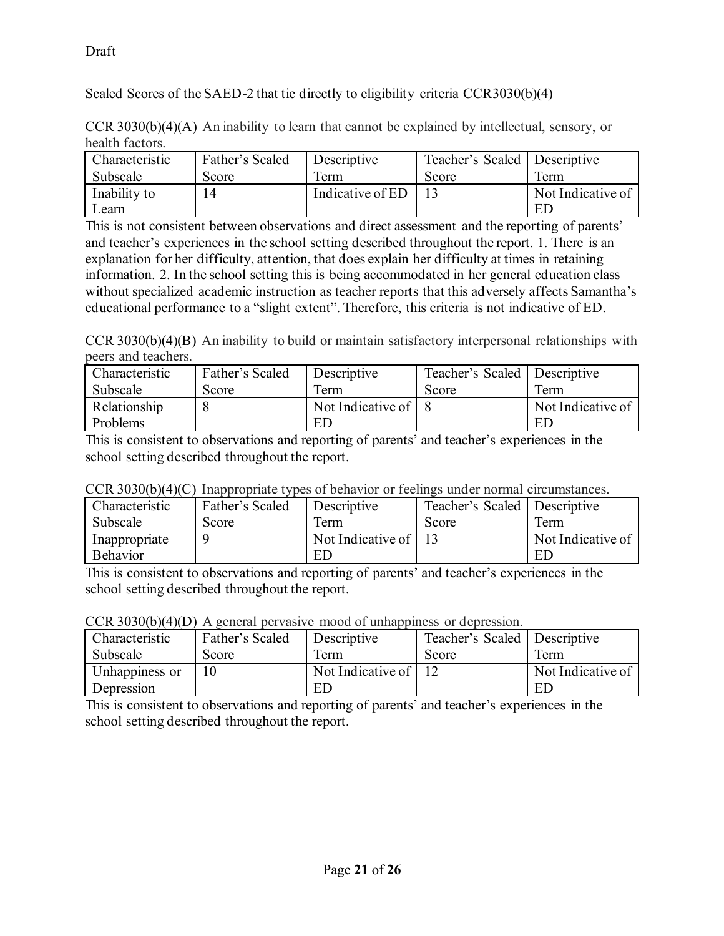Scaled Scores of the SAED-2 that tie directly to eligibility criteria CCR3030(b)(4)

| $CCR\ 3030(b)(4)(A)$ An inability to learn that cannot be explained by intellectual, sensory, or |  |  |  |  |
|--------------------------------------------------------------------------------------------------|--|--|--|--|
| health factors.                                                                                  |  |  |  |  |

| Characteristic | Father's Scaled | Descriptive      | Teacher's Scaled   Descriptive |                   |
|----------------|-----------------|------------------|--------------------------------|-------------------|
| Subscale       | Score           | Term             | Score                          | Term              |
| Inability to   | 14              | Indicative of ED |                                | Not Indicative of |
| Learn          |                 |                  |                                | ED                |

This is not consistent between observations and direct assessment and the reporting of parents' and teacher's experiences in the school setting described throughout the report. 1. There is an explanation for her difficulty, attention, that does explain her difficulty at times in retaining information. 2. In the school setting this is being accommodated in her general education class without specialized academic instruction as teacher reports that this adversely affects Samantha's educational performance to a "slight extent". Therefore, this criteria is not indicative of ED.

CCR 3030(b)(4)(B) An inability to build or maintain satisfactory interpersonal relationships with peers and teachers.

| Characteristic | Father's Scaled | Descriptive                 | Teacher's Scaled   Descriptive |                   |
|----------------|-----------------|-----------------------------|--------------------------------|-------------------|
| Subscale       | Score           | Term                        | Score                          | Ferm              |
| Relationship   |                 | Not Indicative of $\vert 8$ |                                | Not Indicative of |
| Problems       |                 | ED                          |                                | ED                |

This is consistent to observations and reporting of parents' and teacher's experiences in the school setting described throughout the report.

|  | CCR 3030(b)(4)(C) Inappropriate types of behavior or feelings under normal circumstances. |  |
|--|-------------------------------------------------------------------------------------------|--|
|  |                                                                                           |  |

| Characteristic   | Father's Scaled | Descriptive          | Teacher's Scaled   Descriptive |                   |
|------------------|-----------------|----------------------|--------------------------------|-------------------|
| Subscale         | Score           | Term                 | Score                          | Term              |
| Inappropriate    |                 | Not Indicative of 13 |                                | Not Indicative of |
| <b>B</b> ehavior |                 | ED                   |                                | ED                |

This is consistent to observations and reporting of parents' and teacher's experiences in the school setting described throughout the report.

| Characteristic | Father's Scaled | Descriptive          | Teacher's Scaled   Descriptive |                   |
|----------------|-----------------|----------------------|--------------------------------|-------------------|
| Subscale       | Score           | Term                 | Score                          | Term              |
| Unhappiness or |                 | Not Indicative of 12 |                                | Not Indicative of |
| Depression     |                 | ED                   |                                | ED                |

This is consistent to observations and reporting of parents' and teacher's experiences in the school setting described throughout the report.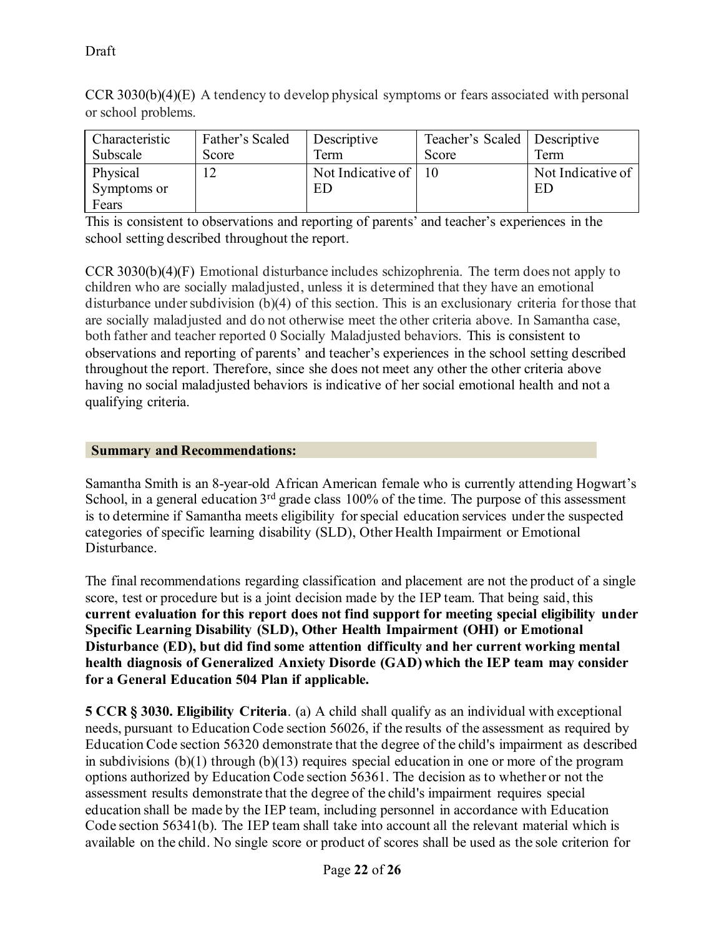CCR 3030(b)(4)(E) A tendency to develop physical symptoms or fears associated with personal or school problems.

| Characteristic | Father's Scaled | Descriptive                  | Teacher's Scaled   Descriptive |                   |
|----------------|-----------------|------------------------------|--------------------------------|-------------------|
| Subscale       | Score           | Term                         | Score                          | Term              |
| Physical       |                 | Not Indicative of $\vert$ 10 |                                | Not Indicative of |
| Symptoms or    |                 | ED                           |                                | ED                |
| Fears          |                 |                              |                                |                   |

This is consistent to observations and reporting of parents' and teacher's experiences in the school setting described throughout the report.

CCR 3030(b)(4)(F) Emotional disturbance includes schizophrenia. The term does not apply to children who are socially maladjusted, unless it is determined that they have an emotional disturbance under subdivision (b)(4) of this section. This is an exclusionary criteria for those that are socially maladjusted and do not otherwise meet the other criteria above. In Samantha case, both father and teacher reported 0 Socially Maladjusted behaviors. This is consistent to observations and reporting of parents' and teacher's experiences in the school setting described throughout the report. Therefore, since she does not meet any other the other criteria above having no social maladjusted behaviors is indicative of her social emotional health and not a qualifying criteria.

#### **Summary and Recommendations:**

Samantha Smith is an 8-year-old African American female who is currently attending Hogwart's School, in a general education 3<sup>rd</sup> grade class 100% of the time. The purpose of this assessment is to determine if Samantha meets eligibility for special education services under the suspected categories of specific learning disability (SLD), Other Health Impairment or Emotional Disturbance.

The final recommendations regarding classification and placement are not the product of a single score, test or procedure but is a joint decision made by the IEP team. That being said, this **current evaluation for this report does not find support for meeting special eligibility under Specific Learning Disability (SLD), Other Health Impairment (OHI) or Emotional Disturbance (ED), but did find some attention difficulty and her current working mental health diagnosis of Generalized Anxiety Disorde (GAD) which the IEP team may consider for a General Education 504 Plan if applicable.**

**5 CCR § 3030. Eligibility Criteria**. (a) A child shall qualify as an individual with exceptional needs, pursuant to Education Code section 56026, if the results of the assessment as required by Education Code section 56320 demonstrate that the degree of the child's impairment as described in subdivisions (b)(1) through (b)(13) requires special education in one or more of the program options authorized by Education Code section 56361. The decision as to whether or not the assessment results demonstrate that the degree of the child's impairment requires special education shall be made by the IEP team, including personnel in accordance with Education Code section 56341(b). The IEP team shall take into account all the relevant material which is available on the child. No single score or product of scores shall be used as the sole criterion for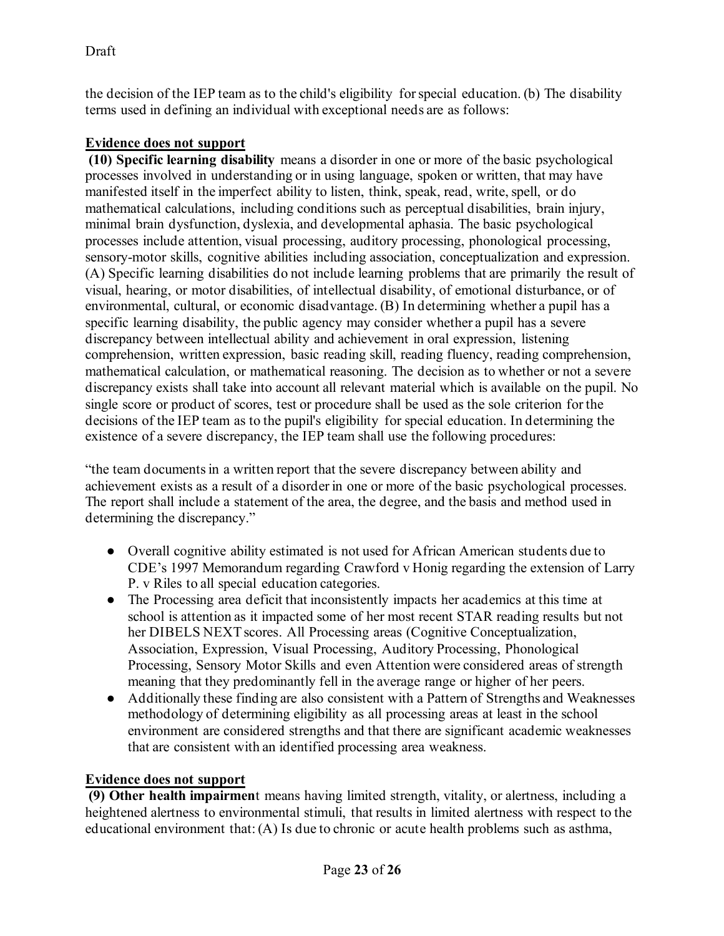the decision of the IEP team as to the child's eligibility for special education. (b) The disability terms used in defining an individual with exceptional needs are as follows:

### **Evidence does not support**

**(10) Specific learning disability** means a disorder in one or more of the basic psychological processes involved in understanding or in using language, spoken or written, that may have manifested itself in the imperfect ability to listen, think, speak, read, write, spell, or do mathematical calculations, including conditions such as perceptual disabilities, brain injury, minimal brain dysfunction, dyslexia, and developmental aphasia. The basic psychological processes include attention, visual processing, auditory processing, phonological processing, sensory-motor skills, cognitive abilities including association, conceptualization and expression. (A) Specific learning disabilities do not include learning problems that are primarily the result of visual, hearing, or motor disabilities, of intellectual disability, of emotional disturbance, or of environmental, cultural, or economic disadvantage. (B) In determining whether a pupil has a specific learning disability, the public agency may consider whether a pupil has a severe discrepancy between intellectual ability and achievement in oral expression, listening comprehension, written expression, basic reading skill, reading fluency, reading comprehension, mathematical calculation, or mathematical reasoning. The decision as to whether or not a severe discrepancy exists shall take into account all relevant material which is available on the pupil. No single score or product of scores, test or procedure shall be used as the sole criterion for the decisions of the IEP team as to the pupil's eligibility for special education. In determining the existence of a severe discrepancy, the IEP team shall use the following procedures:

"the team documents in a written report that the severe discrepancy between ability and achievement exists as a result of a disorder in one or more of the basic psychological processes. The report shall include a statement of the area, the degree, and the basis and method used in determining the discrepancy."

- Overall cognitive ability estimated is not used for African American students due to CDE's 1997 Memorandum regarding Crawford v Honig regarding the extension of Larry P. v Riles to all special education categories.
- The Processing area deficit that inconsistently impacts her academics at this time at school is attention as it impacted some of her most recent STAR reading results but not her DIBELS NEXT scores. All Processing areas (Cognitive Conceptualization, Association, Expression, Visual Processing, Auditory Processing, Phonological Processing, Sensory Motor Skills and even Attention were considered areas of strength meaning that they predominantly fell in the average range or higher of her peers.
- Additionally these finding are also consistent with a Pattern of Strengths and Weaknesses methodology of determining eligibility as all processing areas at least in the school environment are considered strengths and that there are significant academic weaknesses that are consistent with an identified processing area weakness.

### **Evidence does not support**

**(9) Other health impairmen**t means having limited strength, vitality, or alertness, including a heightened alertness to environmental stimuli, that results in limited alertness with respect to the educational environment that: (A) Is due to chronic or acute health problems such as asthma,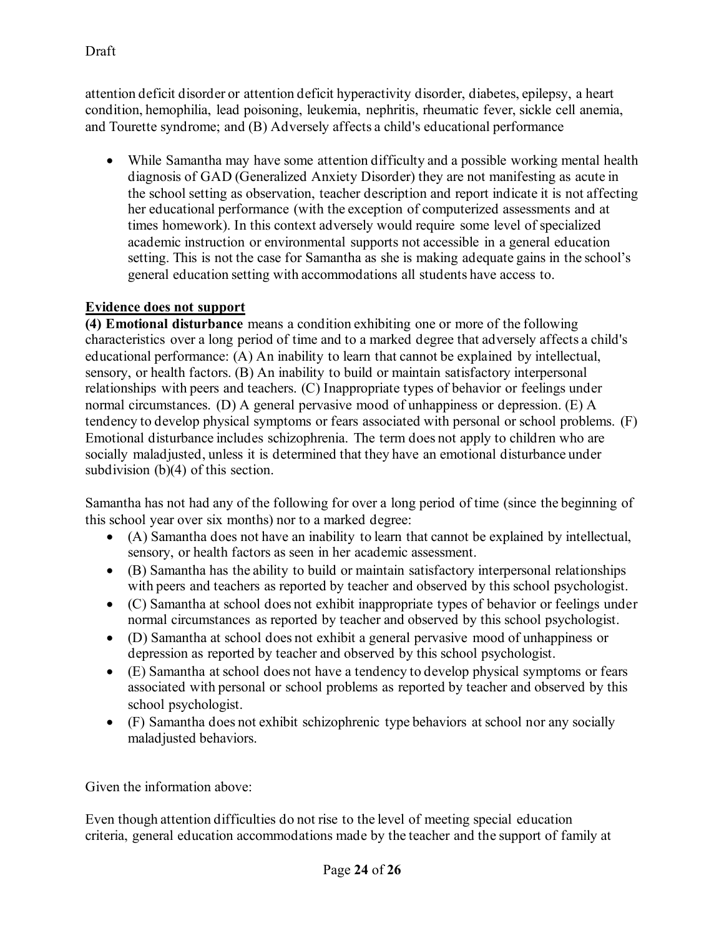### Page **24** of **26**

# Given the information above:

school psychologist.

maladjusted behaviors.

Even though attention difficulties do not rise to the level of meeting special education criteria, general education accommodations made by the teacher and the support of family at

• (C) Samantha at school does not exhibit inappropriate types of behavior or feelings under normal circumstances as reported by teacher and observed by this school psychologist.

• (E) Samantha at school does not have a tendency to develop physical symptoms or fears associated with personal or school problems as reported by teacher and observed by this

• (F) Samantha does not exhibit schizophrenic type behaviors at school nor any socially

• (B) Samantha has the ability to build or maintain satisfactory interpersonal relationships

- 
- (D) Samantha at school does not exhibit a general pervasive mood of unhappiness or
- 
- 
- 
- 
- 
- 
- 
- 
- 
- with peers and teachers as reported by teacher and observed by this school psychologist.
- 
- 
- 
- 
- depression as reported by teacher and observed by this school psychologist.

characteristics over a long period of time and to a marked degree that adversely affects a child's educational performance: (A) An inability to learn that cannot be explained by intellectual, sensory, or health factors. (B) An inability to build or maintain satisfactory interpersonal

sensory, or health factors as seen in her academic assessment.

this school year over six months) nor to a marked degree:

**(4) Emotional disturbance** means a condition exhibiting one or more of the following

relationships with peers and teachers. (C) Inappropriate types of behavior or feelings under normal circumstances. (D) A general pervasive mood of unhappiness or depression. (E) A

tendency to develop physical symptoms or fears associated with personal or school problems. (F) Emotional disturbance includes schizophrenia. The term does not apply to children who are socially maladjusted, unless it is determined that they have an emotional disturbance under

Samantha has not had any of the following for over a long period of time (since the beginning of

• (A) Samantha does not have an inability to learn that cannot be explained by intellectual,

the school setting as observation, teacher description and report indicate it is not affecting her educational performance (with the exception of computerized assessments and at times homework). In this context adversely would require some level of specialized academic instruction or environmental supports not accessible in a general education setting. This is not the case for Samantha as she is making adequate gains in the school's general education setting with accommodations all students have access to.

# **Evidence does not support**

subdivision (b)(4) of this section.

and Tourette syndrome; and (B) Adversely affects a child's educational performance • While Samantha may have some attention difficulty and a possible working mental health diagnosis of GAD (Generalized Anxiety Disorder) they are not manifesting as acute in

attention deficit disorder or attention deficit hyperactivity disorder, diabetes, epilepsy, a heart condition, hemophilia, lead poisoning, leukemia, nephritis, rheumatic fever, sickle cell anemia,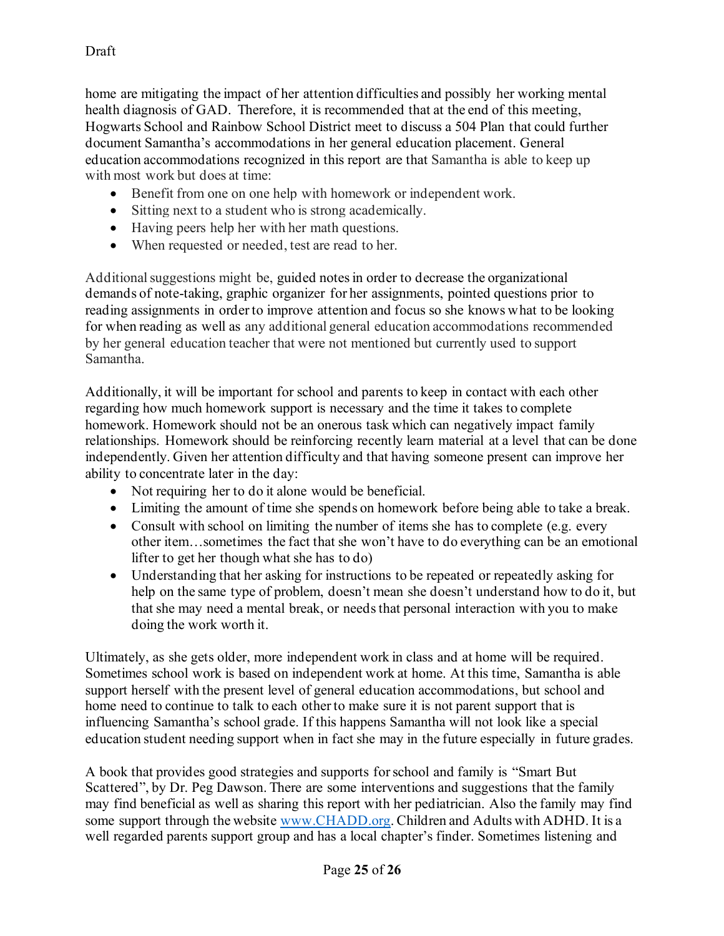home are mitigating the impact of her attention difficulties and possibly her working mental health diagnosis of GAD. Therefore, it is recommended that at the end of this meeting, Hogwarts School and Rainbow School District meet to discuss a 504 Plan that could further document Samantha's accommodations in her general education placement. General education accommodations recognized in this report are that Samantha is able to keep up with most work but does at time:

- Benefit from one on one help with homework or independent work.
- Sitting next to a student who is strong academically.
- Having peers help her with her math questions.
- When requested or needed, test are read to her.

Additional suggestions might be, guided notes in order to decrease the organizational demands of note-taking, graphic organizer for her assignments, pointed questions prior to reading assignments in order to improve attention and focus so she knows what to be looking for when reading as well as any additional general education accommodations recommended by her general education teacher that were not mentioned but currently used to support Samantha.

Additionally, it will be important for school and parents to keep in contact with each other regarding how much homework support is necessary and the time it takes to complete homework. Homework should not be an onerous task which can negatively impact family relationships. Homework should be reinforcing recently learn material at a level that can be done independently. Given her attention difficulty and that having someone present can improve her ability to concentrate later in the day:

- Not requiring her to do it alone would be beneficial.
- Limiting the amount of time she spends on homework before being able to take a break.
- Consult with school on limiting the number of items she has to complete (e.g. every other item…sometimes the fact that she won't have to do everything can be an emotional lifter to get her though what she has to do)
- Understanding that her asking for instructions to be repeated or repeatedly asking for help on the same type of problem, doesn't mean she doesn't understand how to do it, but that she may need a mental break, or needs that personal interaction with you to make doing the work worth it.

Ultimately, as she gets older, more independent work in class and at home will be required. Sometimes school work is based on independent work at home. At this time, Samantha is able support herself with the present level of general education accommodations, but school and home need to continue to talk to each other to make sure it is not parent support that is influencing Samantha's school grade. If this happens Samantha will not look like a special education student needing support when in fact she may in the future especially in future grades.

A book that provides good strategies and supports for school and family is "Smart But Scattered", by Dr. Peg Dawson. There are some interventions and suggestions that the family may find beneficial as well as sharing this report with her pediatrician. Also the family may find some support through the website [www.CHADD.org](http://www.chadd.org/). Children and Adults with ADHD. It is a well regarded parents support group and has a local chapter's finder. Sometimes listening and